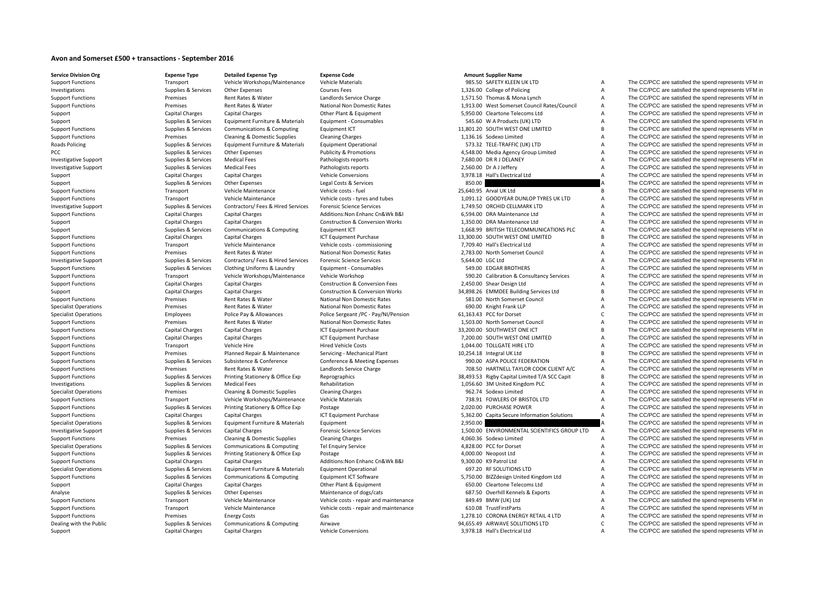## **Avon and Somerset £500 <sup>+</sup> transactions ‐ September 2016**

| <b>Support Functions</b>     | Transport              | Vehicle Workshops/Maintenance                     | <b>Vehicle Materials</b>                   |                  | 985.50 SAFETY KLEEN UK LTD                    | Α              | The CC/PCC are satisfied the spend represents VFM in |
|------------------------------|------------------------|---------------------------------------------------|--------------------------------------------|------------------|-----------------------------------------------|----------------|------------------------------------------------------|
| Investigations               | Supplies & Services    | Other Expenses                                    | <b>Courses Fees</b>                        |                  | 1,326.00 College of Policing                  | A              | The CC/PCC are satisfied the spend represents VFM in |
| <b>Support Functions</b>     | Premises               | Rent Rates & Water                                | Landlords Service Charge                   |                  | 1,571.50 Thomas & Mona Lynch                  | A              | The CC/PCC are satisfied the spend represents VFM in |
| <b>Support Functions</b>     | Premises               | Rent Rates & Water                                | National Non Domestic Rates                |                  | 1,913.00 West Somerset Council Rates/Council  | A              | The CC/PCC are satisfied the spend represents VFM in |
| Support                      | <b>Capital Charges</b> | <b>Capital Charges</b>                            | Other Plant & Equipment                    |                  | 5,950.00 Cleartone Telecoms Ltd               | A              | The CC/PCC are satisfied the spend represents VFM in |
| Support                      | Supplies & Services    | Equipment Furniture & Materials                   | Equipment - Consumables                    |                  | 545.60 W A Products (UK) LTD                  | A              | The CC/PCC are satisfied the spend represents VFM in |
| <b>Support Functions</b>     | Supplies & Services    | Communications & Computing                        | Equipment ICT                              |                  | 11,801.20 SOUTH WEST ONE LIMITED              | B              | The CC/PCC are satisfied the spend represents VFM in |
| <b>Support Functions</b>     | Premises               | Cleaning & Domestic Supplies                      | <b>Cleaning Charges</b>                    |                  | 1,136.16 Sodexo Limited                       | A              | The CC/PCC are satisfied the spend represents VFM in |
| Roads Policing               | Supplies & Services    | Equipment Furniture & Materials                   | <b>Equipment Operational</b>               |                  | 573.32 TELE-TRAFFIC (UK) LTD                  | A              | The CC/PCC are satisfied the spend represents VFM in |
| PCC                          | Supplies & Services    | Other Expenses                                    | <b>Publicity &amp; Promotions</b>          |                  | 4,548.00 Media Agency Group Limited           | A              | The CC/PCC are satisfied the spend represents VFM in |
| <b>Investigative Support</b> | Supplies & Services    | <b>Medical Fees</b>                               | Pathologists reports                       |                  | 7,680.00 DR R J DELANEY                       | A              | The CC/PCC are satisfied the spend represents VFM in |
| <b>Investigative Support</b> | Supplies & Services    | <b>Medical Fees</b>                               | Pathologists reports                       |                  | 2,560.00 Dr A J Jeffery                       | A              | The CC/PCC are satisfied the spend represents VFM in |
| Support                      | Capital Charges        | Capital Charges                                   | <b>Vehicle Conversions</b>                 |                  | 3,978.18 Hall's Electrical Ltd                | $\overline{A}$ | The CC/PCC are satisfied the spend represents VFM in |
| Support                      | Supplies & Services    | Other Expenses                                    | Legal Costs & Services                     | 850.00           |                                               |                | The CC/PCC are satisfied the spend represents VFM in |
| <b>Support Functions</b>     | Transport              | Vehicle Maintenance                               | Vehicle costs - fuel                       |                  | 25,640.95 Arval UK Ltd                        | B              | The CC/PCC are satisfied the spend represents VFM in |
| <b>Support Functions</b>     | Transport              | Vehicle Maintenance                               | Vehicle costs - tyres and tubes            |                  | 1,091.12 GOODYEAR DUNLOP TYRES UK LTD         | A              | The CC/PCC are satisfied the spend represents VFM in |
| <b>Investigative Support</b> | Supplies & Services    | Contractors/ Fees & Hired Services                | <b>Forensic Science Services</b>           |                  | 1,749.50 ORCHID CELLMARK LTD                  | A              | The CC/PCC are satisfied the spend represents VFM in |
|                              | <b>Capital Charges</b> | Capital Charges                                   | Additions: Non Enhanc Cn&Wk B&I            |                  | 6,594.00 DRA Maintenance Ltd                  | A              | The CC/PCC are satisfied the spend represents VFM in |
| <b>Support Functions</b>     |                        |                                                   |                                            |                  |                                               | A              |                                                      |
| Support                      | Capital Charges        | <b>Capital Charges</b>                            | <b>Construction &amp; Conversion Works</b> |                  | 1.350.00 DRA Maintenance Ltd                  |                | The CC/PCC are satisfied the spend represents VFM in |
| Support                      | Supplies & Services    | Communications & Computing                        | Equipment ICT                              |                  | 1,668.99 BRITISH TELECOMMUNICATIONS PLC       | A              | The CC/PCC are satisfied the spend represents VFM in |
| <b>Support Functions</b>     | <b>Capital Charges</b> | <b>Capital Charges</b>                            | ICT Equipment Purchase                     |                  | 13,300.00 SOUTH WEST ONE LIMITED              | B              | The CC/PCC are satisfied the spend represents VFM in |
| <b>Support Functions</b>     | Transport              | Vehicle Maintenance                               | Vehicle costs - commissioning              |                  | 7,709.40 Hall's Electrical Ltd                | A              | The CC/PCC are satisfied the spend represents VFM in |
| <b>Support Functions</b>     | Premises               | Rent Rates & Water                                | National Non Domestic Rates                |                  | 2,783.00 North Somerset Council               | A              | The CC/PCC are satisfied the spend represents VFM in |
| <b>Investigative Support</b> | Supplies & Services    | Contractors/ Fees & Hired Services                | <b>Forensic Science Services</b>           | 5,644.00 LGC Ltd |                                               | A              | The CC/PCC are satisfied the spend represents VFM in |
| <b>Support Functions</b>     | Supplies & Services    | Clothing Uniforms & Laundry                       | Equipment - Consumables                    |                  | 549.00 EDGAR BROTHERS                         | A              | The CC/PCC are satisfied the spend represents VFM in |
| <b>Support Functions</b>     | Transport              | Vehicle Workshops/Maintenance                     | Vehicle Workshop                           |                  | 590.20 Calibration & Consultancy Services     | A              | The CC/PCC are satisfied the spend represents VFM in |
| <b>Support Functions</b>     | Capital Charges        | <b>Capital Charges</b>                            | <b>Construction &amp; Conversion Fees</b>  |                  | 2,450.00 Shear Design Ltd                     | A              | The CC/PCC are satisfied the spend represents VFM in |
| Support                      | <b>Capital Charges</b> | Capital Charges                                   | <b>Construction &amp; Conversion Works</b> |                  | 34,898.26 EMMDEE Building Services Ltd        | B              | The CC/PCC are satisfied the spend represents VFM in |
| <b>Support Functions</b>     | Premises               | Rent Rates & Water                                | <b>National Non Domestic Rates</b>         |                  | 581.00 North Somerset Council                 | A              | The CC/PCC are satisfied the spend represents VFM in |
| <b>Specialist Operations</b> | Premises               | Rent Rates & Water                                | National Non Domestic Rates                |                  | 690.00 Knight Frank LLP                       | A              | The CC/PCC are satisfied the spend represents VFM in |
| <b>Specialist Operations</b> | Employees              | Police Pay & Allowances                           | Police Sergeant /PC - Pay/NI/Pension       |                  | 61,163.43 PCC for Dorset                      | Ċ              | The CC/PCC are satisfied the spend represents VFM in |
| <b>Support Functions</b>     | Premises               | Rent Rates & Water                                | National Non Domestic Rates                |                  | 1,503.00 North Somerset Council               | A              | The CC/PCC are satisfied the spend represents VFM in |
| <b>Support Functions</b>     | Capital Charges        | <b>Capital Charges</b>                            | ICT Equipment Purchase                     |                  | 33,200.00 SOUTHWEST ONE ICT                   | B              | The CC/PCC are satisfied the spend represents VFM in |
| <b>Support Functions</b>     | <b>Capital Charges</b> | Capital Charges                                   | <b>ICT Equipment Purchase</b>              |                  | 7,200.00 SOUTH WEST ONE LIMITED               | A              | The CC/PCC are satisfied the spend represents VFM in |
| <b>Support Functions</b>     | Transport              | Vehicle Hire                                      | <b>Hired Vehicle Costs</b>                 |                  | 1.044.00 TOLLGATE HIRE LTD                    | A              | The CC/PCC are satisfied the spend represents VFM in |
| <b>Support Functions</b>     | Premises               |                                                   |                                            |                  |                                               | B              | The CC/PCC are satisfied the spend represents VFM in |
|                              |                        | Planned Repair & Maintenance                      | Servicing - Mechanical Plant               |                  | 10,254.18 Integral UK Ltd                     | A              |                                                      |
| <b>Support Functions</b>     | Supplies & Services    | Subsistence & Conference                          | Conference & Meeting Expenses              |                  | 990.00 ASPA POLICE FEDERATION                 | A              | The CC/PCC are satisfied the spend represents VFM in |
| <b>Support Functions</b>     | Premises               | Rent Rates & Water                                | Landlords Service Charge                   |                  | 708.50 HARTNELL TAYLOR COOK CLIENT A/C        |                | The CC/PCC are satisfied the spend represents VFM in |
| <b>Support Functions</b>     | Supplies & Services    | Printing Stationery & Office Exp                  | Reprographics                              |                  | 38,493.53 Rigby Capital Limited T/A SCC Capit | B              | The CC/PCC are satisfied the spend represents VFM in |
| Investigations               | Supplies & Services    | <b>Medical Fees</b>                               | Rehabilitation                             |                  | 1,056.60 3M United Kingdom PLC                | A              | The CC/PCC are satisfied the spend represents VFM in |
| <b>Specialist Operations</b> | Premises               | Cleaning & Domestic Supplies                      | <b>Cleaning Charges</b>                    |                  | 962.74 Sodexo Limited                         | A              | The CC/PCC are satisfied the spend represents VFM in |
| <b>Support Functions</b>     | Transport              | Vehicle Workshops/Maintenance                     | Vehicle Materials                          |                  | 738.91 FOWLERS OF BRISTOL LTD                 | A              | The CC/PCC are satisfied the spend represents VFM in |
| <b>Support Functions</b>     | Supplies & Services    | Printing Stationery & Office Exp                  | Postage                                    |                  | 2,020.00 PURCHASE POWER                       | A              | The CC/PCC are satisfied the spend represents VFM in |
| <b>Support Functions</b>     | Capital Charges        | Capital Charges                                   | ICT Equipment Purchase                     |                  | 5,362.00 Capita Secure Information Solutions  | $\overline{A}$ | The CC/PCC are satisfied the spend represents VFM in |
| <b>Specialist Operations</b> | Supplies & Services    | Equipment Furniture & Materials                   | Equipment                                  | 2,950.00         |                                               |                | The CC/PCC are satisfied the spend represents VFM in |
| <b>Investigative Support</b> | Supplies & Services    | Capital Charges                                   | <b>Forensic Science Services</b>           |                  | 1,500.00 ENVIRONMENTAL SCIENTIFICS GROUP LTD  | $\overline{A}$ | The CC/PCC are satisfied the spend represents VFM in |
| <b>Support Functions</b>     | Premises               | Cleaning & Domestic Supplies                      | <b>Cleaning Charges</b>                    |                  | 4,060.36 Sodexo Limited                       | A              | The CC/PCC are satisfied the spend represents VFM in |
| <b>Specialist Operations</b> | Supplies & Services    | Communications & Computing                        | <b>Tel Enquiry Service</b>                 |                  | 4,828.00 PCC for Dorset                       | A              | The CC/PCC are satisfied the spend represents VFM in |
| <b>Support Functions</b>     | Supplies & Services    | Printing Stationery & Office Exp                  | Postage                                    |                  | 4,000.00 Neopost Ltd                          | A              | The CC/PCC are satisfied the spend represents VFM in |
| <b>Support Functions</b>     | <b>Capital Charges</b> | <b>Capital Charges</b>                            | Additions: Non Enhanc Cn&Wk B&I            |                  | 9,300.00 K9 Patrol Ltd                        | A              | The CC/PCC are satisfied the spend represents VFM in |
| <b>Specialist Operations</b> | Supplies & Services    | Equipment Furniture & Materials                   | <b>Equipment Operational</b>               |                  | 697.20 RF SOLUTIONS LTD                       | A              | The CC/PCC are satisfied the spend represents VFM in |
| <b>Support Functions</b>     | Supplies & Services    | Communications & Computing                        | Equipment ICT Software                     |                  | 5,750.00 BIZZdesign United Kingdom Ltd        | A              | The CC/PCC are satisfied the spend represents VFM in |
| Support                      | <b>Capital Charges</b> | Capital Charges                                   | Other Plant & Equipment                    |                  | 650.00 Cleartone Telecoms Ltd                 | A              | The CC/PCC are satisfied the spend represents VFM in |
| Analyse                      | Supplies & Services    | Other Expenses                                    | Maintenance of dogs/cats                   |                  | 687.50 Overhill Kennels & Exports             | A              | The CC/PCC are satisfied the spend represents VFM in |
| <b>Support Functions</b>     | Transport              | Vehicle Maintenance                               | Vehicle costs - repair and maintenance     |                  | 849.49 BMW (UK) Ltd                           | A              | The CC/PCC are satisfied the spend represents VFM in |
| <b>Support Functions</b>     | Transport              | Vehicle Maintenance                               | Vehicle costs - repair and maintenance     |                  | 610.08 TrustFirstParts                        | A              | The CC/PCC are satisfied the spend represents VFM in |
| <b>Support Functions</b>     | Premises               |                                                   | Gas                                        |                  | 1,278.10 CORONA ENERGY RETAIL 4 LTD           | A              | The CC/PCC are satisfied the spend represents VFM in |
| Dealing with the Public      | Supplies & Services    | <b>Energy Costs</b><br>Communications & Computing | Airwave                                    |                  | 94,655.49 AIRWAVE SOLUTIONS LTD               | $\mathsf{C}$   | The CC/PCC are satisfied the spend represents VFM in |
|                              |                        |                                                   |                                            |                  |                                               |                |                                                      |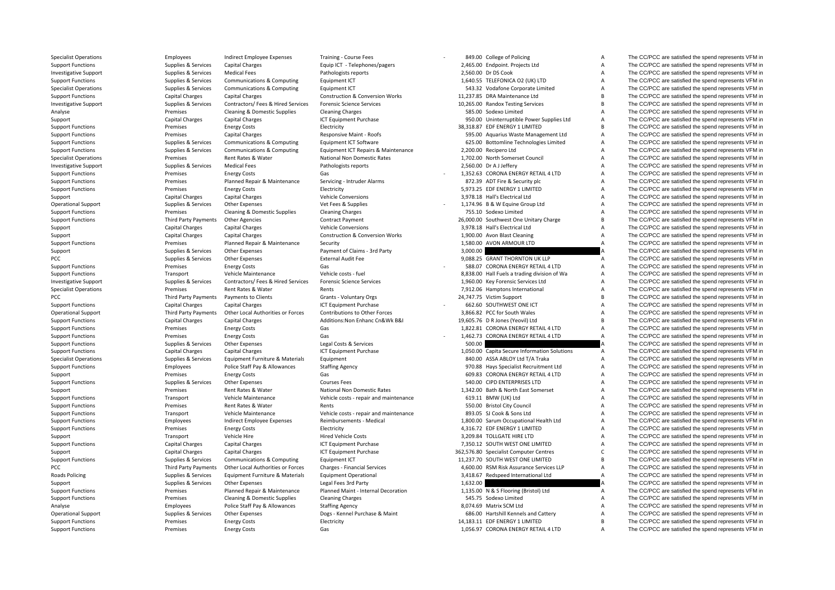PCC Third Party Payments PCC **PCC** Third Party Payments **Roads Policing** 

Specialist Operations **Employees** Indirect Employee Expenses Training - Course Fees **199.00 College of Policing A The CC/PCC** are satisfied the spend represents VFM in

|          | 849.00 College of Policing                                             |
|----------|------------------------------------------------------------------------|
|          | 2,465.00 Endpoint. Projects Ltd                                        |
|          | 2,560.00 Dr DS Cook                                                    |
|          | 1,640.55 TELEFONICA O2 (UK) LTD                                        |
|          | 543.32 Vodafone Corporate Limited                                      |
|          | 11,237.85 DRA Maintenance Ltd                                          |
|          | 10,265.00 Randox Testing Services                                      |
|          | 585.00 Sodexo Limited                                                  |
|          | 950.00 Uninterruptible Power Supplies Ltd                              |
|          | 38,318.87 EDF ENERGY 1 LIMITED                                         |
|          | 595.00 Aquarius Waste Management Ltd                                   |
|          | 625.00 Bottomline Technologies Limited                                 |
|          | 2,200.00 Recipero Ltd                                                  |
|          | 1,702.00 North Somerset Council                                        |
|          | 2,560.00 Dr A J Jeffery                                                |
|          | 1,352.63 CORONA ENERGY RETAIL 4 LTD                                    |
|          | 872.39 ADT Fire & Security plc                                         |
|          | 5,973.25 EDF ENERGY 1 LIMITED                                          |
|          | 3,978.18 Hall's Electrical Ltd                                         |
|          | 1,174.96 B & W Equine Group Ltd                                        |
|          | 755.10 Sodexo Limited                                                  |
|          | 26,000.00 Southwest One Unitary Charge                                 |
|          | 3,978.18 Hall's Electrical Ltd                                         |
|          | 1,900.00 Avon Blast Cleaning                                           |
|          | 1,580.00 AVON ARMOUR LTD                                               |
| 3,000.00 |                                                                        |
|          | 9,088.25 GRANT THORNTON UK LLP                                         |
|          | 588.07 CORONA ENERGY RETAIL 4 LTD                                      |
|          | 8,838.00 Hall Fuels a trading division of Wa                           |
|          | 1,960.00 Key Forensic Services Ltd                                     |
|          | 7,912.06 Hamptons International                                        |
|          |                                                                        |
|          |                                                                        |
|          | 24,747.75 Victim Support                                               |
|          | 662.60 SOUTHWEST ONE ICT                                               |
|          | 3,866.82 PCC for South Wales                                           |
|          | 19,605.76 D R Jones (Yeovil) Ltd                                       |
|          | 1,822.81 CORONA ENERGY RETAIL 4 LTD                                    |
|          | 1,462.73 CORONA ENERGY RETAIL 4 LTD                                    |
| 500.00   |                                                                        |
|          | 1,050.00 Capita Secure Information Solutions                           |
|          | 840.00 ASSA ABLOY Ltd T/A Traka                                        |
|          | 970.88 Hays Specialist Recruitment Ltd                                 |
|          | 609.83 CORONA ENERGY RETAIL 4 LTD                                      |
|          | 540.00 CIPD ENTERPRISES LTD                                            |
|          | 1,342.00 Bath & North East Somerset                                    |
|          | 619.11 BMW (UK) Ltd                                                    |
|          | 550.00 Bristol City Council                                            |
|          | 893.05 SJ Cook & Sons Ltd                                              |
|          | 1,800.00 Sarum Occupational Health Ltd                                 |
|          | 4,316.72 EDF ENERGY 1 LIMITED                                          |
|          | 3,209.84 TOLLGATE HIRE LTD                                             |
|          | 7,350.12 SOUTH WEST ONE LIMITED                                        |
|          | 362,576.80 Specialist Computer Centres                                 |
|          | 11,237.70 SOUTH WEST ONE LIMITED                                       |
|          | 4,600.00 RSM Risk Assurance Services LLP                               |
|          | 3,418.67 Redspeed International Ltd                                    |
| 1,632.00 |                                                                        |
|          | 1,135.00 N & S Flooring (Bristol) Ltd                                  |
|          | 545.75 Sodexo Limited                                                  |
|          | 8,074.69 Matrix SCM Ltd                                                |
|          | 686.00 Hartshill Kennels and Cattery<br>14,183.11 EDF ENERGY 1 LIMITED |

Support Functions Supplies & Services Capital Charges Equip ICT - Telephones/pagers 2,465.00 Endpoint. Projects Ltd A The CC/PCC are satisfied the spend represents VFM in Investigative Support Supplies & Services Medical Fees Pathologists reports 2,560.00 Dr DS Cook A The CC/PCC are satisfied the spend represents VFM in Support Functions Supplies & Services Communications & Computing Equipment ICT 1,640.55 TELEFONICA O2 (UK) LTD A The CC/PCC are satisfied the spend represents VFM in Specialist Operations Supplies & Services Communications & Computing Equipment ICT 543.32 Vodafone Corporate Limited A The CC/PCC are satisfied the spend represents VFM in Support Functions Capital Charges Capital Charges Construction & Conversion Works 11,237.85 DRA Maintenance Ltd B The CC/PCC are satisfied the spend represents VFM in Investigative Support Support Supplies & Services Contractors/ Fees & Hired Services Forensic Science Services Forensic Science Services 10,265.00 Randox Testing Services B The CC/PCC are satisfied the spend represents VFM Analyse Premises Cleaning & Domestic Supplies Cleaning Charges Cleaning Charges S85.00 Sodexo Limited A The CC/PCC are satisfied the spend represents VFM in Support Capital Charges Capital Charges ICT Equipment Purchase 950.00 Uninterruptible Power Supplies Ltd A The CC/PCC are satisfied the spend represents VFM in Support Functions The CC/PCC are satisfied the spend represents VFM in Electricity Electricity Electricity and the Support Functions and the Support Functions The CC/PCC are satisfied the spend represents VFM in Support Functions Premises Capital Charges Responsive Maint ‐ Roofs 595.00 Aquarius Waste Management Ltd A The CC/PCC are satisfied the spend represents VFM in Support Functions Supplies Supplies & Services Communications & Computing Equipment ICT Software Supplies Computing Equipment ICT Software 625.00 Bottomline Technologies Limited A The CC/PCC are satisfied the spend represe Supplies & Services Communications & Computing Faulument ICT Repairs & Maintenance 2,200.00 Recipero Ltd A The CC/PCC are satisfied the spend represents VFM in Specialist Operations **Premises** Rent Rates Rent Rates National Non Domestic Rates 1,702.00 North Somerset Council A The CC/PCC are satisfied the spend represents VFM in Investigative Support Supplies & Services Medical Fees Pathologists reports 2,560.00 Dr AJ Jeffery A The CC/PCC are satisfied the spend represents VFM in Support The CC/PCC are satisfied the spend represents VFM in Support Premises Energy Costs Gas Gas CORONA ENERGY RETAIL 4 LTD A The CC/PCC are satisfied the spend represents VFM in Support Functions Premises Planned Repair & Maintenance Servicing - Intruder Alarms 872.39 ADT Fire & Security plc A The CC/PCC are satisfied the spend represents VFM in Support Functions energy Costs Energy Costs Electricity Electricity Electricity 5,973.25 EDF ENERGY 1 LIMITED A The CC/PCC are satisfied the spend represents VFM in Support Capital Charges Capital Charges Vehicle Conversions 3,978.18 Hall's Electrical Ltd A The CC/PCC are satisfied the spend represents VFM in Operational Support Supplies & Services Other Expenses Vet Fees & Supplies Version of the Supplies A Supplies A The CC/PCC are satisfied the spend represents VFM in Support Functions **Premises** Cleaning & Domestic Supplies Cleaning Charges 755.10 Sodexo Limited A The CC/PCC are satisfied the spend represents VFM in Support Functions Third Party Payments Other Agencies Contract Payment Contract Payment 26,000.00 Southwest One Unitary Charge B The CC/PCC are satisfied the spend represents VFM in Support Capital Charges Capital Charges Vehicle Conversions Vehicle Conversions 3,978.18 Hall's Electrical Ltd A The CC/PCC are satisfied the spend represents VFM in Support Capital Charges Capital Charges Construction & Conversion Works 1,900.00 Avon Blast Cleaning A The CC/PCC are satisfied the spend represents VFM in Support Functions 2008 Support Functions Premises Planned Repair & Maintenance Security Support 1,580.00 AVON ARMOUR LTD A The CC/PCC are satisfied the spend represents VFM in Support Functions Support Functions Support Su Support Support Support Services Other Expenses Payment of Claims - 3rd Party 3,000.00 3,000.00 A The CC/PCC are satisfied the spend represents VFM in PCC PEC Supplies Supplies A Services Other Expenses External Audit Fee 9,088.25 GRANT THORNTON UK LLP A The CC/PCC are satisfied the spend represents VFM in Supplies Assemble of the CC/PCC are satisfied the spend represent Support Functions **Energy Costs** Energy Costs Gas Gas S88.07 CORONA ENTRGY RETAIL 4 LTD A The CC/PCC are satisfied the spend represents VFM in Support Functions Transport Vehicle Maintenance Vehicle costs ‐ fuel 8,838.00 Hall Fuels a trading division of Wa A The CC/PCC are satisfied the spend represents VFM in Investigative Support Support Support Support Support Support Support Support Support Support Support Support Support Support Support Support Support Support Support Support Support Support Support Support Support Support Specialist Operations **Specialist Operations** Premises Rent Rates & Water Rents Rents Rents Rents Rents Rent Rates & Water Rents Rents Rents Rents Rents Rents Rents Rents Rents Rents Rents Rents Rent Rents Rents Rent Rents Payments to Clients Grants - Voluntary Orgs 24,747.75 Victim Support B The CC/PCC are satisfied the spend represents VFM in Support Functions Capital Charges Capital Charges Capital Charges Capital Charges Capital Charges Capital Charges ICT Equipment Purchase 662.60 SOUTHWEST ONE ICT A The CC/PCC are satisfied the spend represents VFM in Operational Support Third Party Payments Other Local Authorities or Forces Contributions to Other Forces 3,866.82 PCC for South Wales A The CC/PCC are satisfied the spend represents VFM in Support Functions Capital Charges Capital Charges Additions:Non Enhanc Cn&Wk B&I 19,605.76 D R Jones (Yeovil) Ltd B The CC/PCC are satisfied the spend represents VFM in Support Functions **Energy Costs** Energy Costs Gas Gas CORONA ENERGY RETAIL 4 LTD A The CC/PCC are satisfied the spend represents VFM in Support Functions examples Fremises Energy Costs Gas Gas Cases Cases Cases and the CO/PCC are satisfied the spend represents VFM in Support Functions Supplies & Services Other Expenses Legal Costs & Services 500.00 A The CC/PCC are satisfied the spend represents VFM in Support Functions Capital Charges Capital Charges Capital Charges ICT Equipment Purchase 1,050.00 Capita Secure Information Solutions A The CC/PCC are satisfied the spend represents VFM in Specialist Operations Supplies & Services Equipment Furniture & Materials Equipment Equipment Equipment Equipment Equipment Equipment and the Specialist Accord A The CC/PCC are satisfied the spend represents VFM in Supplie The CC/PCC are satisfied the spend represents VFM in Support Premises Energy Costs Gas Gas CORONA ENERGY RETAIL 4 LTD A The CC/PCC are satisfied the spend represents VFM in Support Functions Supplies & Services Other Expenses Courses Fees 540.00 CIPD ENTERPRISES LTD A The CC/PCC are satisfied the spend represents VFM in Support Premises Rent Rates & Water National Non Domestic Rates 1,342.00 Bath & North East Somerset A The CC/PCC are satisfied the spend represents VFM in Support VFM in Support Premises Rent Rates National Non Domestic Ra Support Functions Transport Vehicle Maintenance Vehicle costs ‐ repair and maintenance 619.11 BMW (UK) Ltd A The CC/PCC are satisfied the spend represents VFM in Support Functions **Premises** Rent Rates & Water Rents Rents Rents Rents S50.00 Bristol City Council A The CC/PCC are satisfied the spend represents VFM in Support Functions Transport Vehicle Maintenance Vehicle costs ‐ repair and maintenance 893.05 SJ Cook & Sons Ltd A The CC/PCC are satisfied the spend represents VFM in Support Functions Employees Indirect Employee Expenses Reimbursements - Medical 1,800.00 Sarum Occupational Health Ltd A The CC/PCC are satisfied the spend represents VFM in Support Functions energy Costs Energy Costs Electricity Electricity A,316.72 EDF ENERGY 1 LIMITED A The CC/PCC are satisfied the spend represents VFM in Support Transport Vehicle Hire Hired Vehicle Costs 3,209.84 TOLLGATE HIRE LTD A The CC/PCC are satisfied the spend represents VFM in Support Functions Capital Charges Capital Charges Capital Charges ICT Equipment Purchase 7,350.12 SOUTH WEST ONE LIMITED A The CC/PCC are satisfied the spend represents VFM in Support Capital Charges Capital Charges Capital Charges ICT Equipment Purchase 362,576.80 Specialist Computer Centres C The CC/PCC are satisfied the spend represents VFM in Support Functions Supplies & Services Communications & Computing Faultiment ICT 11,237.70 SOUTH WEST ONE LIMITED B The CC/PCC are satisfied the spend represents VFM in Other Local Authorities or Forces Charges - Financial Services Mayment Charges 4,600.00 RSM Risk Assurance Services LLP A The CC/PCC are satisfied the spend represents VFM in Policing Supplies & Services Equipment Furniture & Materials Equipment Operational 3,418.67 Redspeed International Ltd A The CC/PCC are satisfied the spend represents VFM in Support Supplies & Services Other Expenses Legal Fees 3rd Party 1,632.00 1,632.00 A The CC/PCC are satisfied the spend represents VFM in Support Current Communisty Control of the Support Current Communisty Control of the S Premises Planned Repair & Maintenance Planned Maint – Internal Decoration 1,135.00 N & S Flooring (Bristol) Ltd A The CC/PCC are satisfied the spend represents VFM in Support Functions Premises Cleaning & Domestic Supplies Cleaning Charges S45.75 Sodexo Limited A The CC/PCC are satisfied the spend represents VFM in Analyse Collection of the State of The CO/PCC are satisfied the spend represents VFM in Police Staff Pay & Allowances Staffing Agency Staffing Agency and the SCOM Hartix SCM Ltd A The CC/PCC are satisfied the spend represe Operational Support Supplies & Services Other Expenses Dogs · Kennel Purchase & Maint 686.00 Hartshill Kennels and Cattery A The CC/PCC are satisfied the spend represents VFM in Support Functions Support Energy Costs Energy Costs Electricity Electricity and the Support Functions and the Support Functions Premises Energy Costs Energy Costs Cass Cass Cases and The CO/PCC are satisfied the spend repr Support Functions energy Costs Energy Costs Gas Gas CORONA ENERGY RETAIL 4 LTD A The CC/PCC are satisfied the spend represents VFM in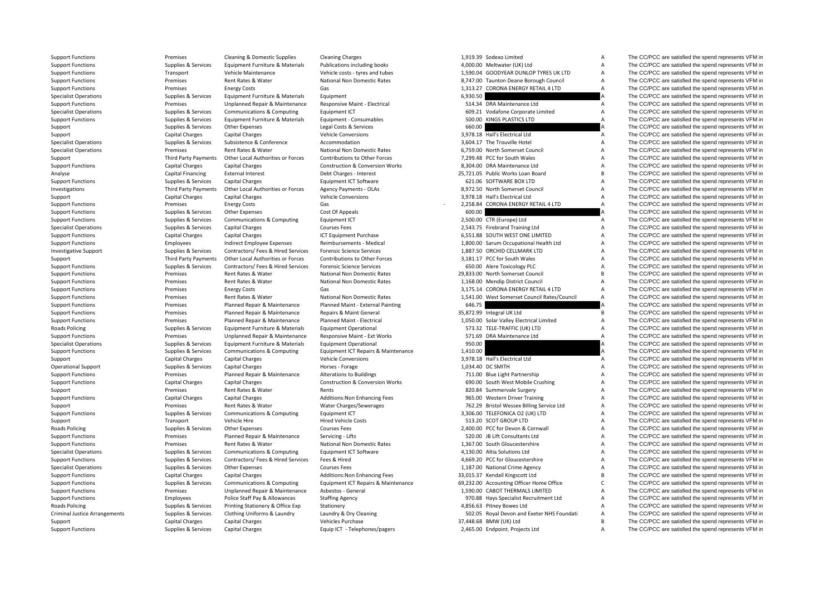**Roads Policing Roads Policing Roads Policing** Criminal Justice

Support Functions **Premises** Cleaning & Domestic Supplies Cleaning Charges 2008 and the Supplies Cleaning Charges Cleaning Charges Cleaning Charges 1,919.39 Sodexo Limited A The CC/PCC are satisfied the spend represents VF

|          | 1,919.39 Sodexo Limited                                                  |
|----------|--------------------------------------------------------------------------|
|          | 4,000.00 Meltwater (UK) Ltd                                              |
|          | 1,590.04 GOODYEAR DUNLOP TYRES UK LTD                                    |
|          | 8,747.00 Taunton Deane Borough Council                                   |
|          | 1,313.27 CORONA ENERGY RETAIL 4 LTD                                      |
| 6,930.50 |                                                                          |
|          | 514.34 DRA Maintenance Ltd                                               |
|          | 609.21 Vodafone Corporate Limited                                        |
|          | 500.00 KINGS PLASTICS LTD                                                |
| 660.00   |                                                                          |
|          | 3,978.18 Hall's Electrical Ltd                                           |
|          | 3,604.17 The Trouville Hotel                                             |
|          | 6,759.00 North Somerset Council                                          |
|          | 7,299.48 PCC for South Wales                                             |
|          | 8,304.00 DRA Maintenance Ltd                                             |
|          | 5,721.05 Public Works Loan Board                                         |
|          | 621.06 SOFTWARE BOX LTD                                                  |
|          | 8,972.50 North Somerset Council                                          |
|          | 3,978.18 Hall's Electrical Ltd                                           |
|          | 2,258.84 CORONA ENERGY RETAIL 4 LTD                                      |
| 600.00   |                                                                          |
|          | 2,500.00 CTR (Europe) Ltd                                                |
|          | 2,543.75 Firebrand Training Ltd                                          |
|          | 6,551.88 SOUTH WEST ONE LIMITED                                          |
|          | 1,800.00 Sarum Occupational Health Ltd<br>1,887.50 ORCHID CELLMARK LTD   |
|          | 3,181.17 PCC for South Wales                                             |
|          | 650.00 Alere Toxicology PLC                                              |
|          | 9,833.00 North Somerset Council                                          |
|          | 1,168.00 Mendip District Council                                         |
|          | 3,175.14 CORONA ENERGY RETAIL 4 LTD                                      |
|          |                                                                          |
|          | 1,541.00 West Somerset Council Rates/Council                             |
|          |                                                                          |
| 646.75   | 5,872.99 Integral UK Ltd                                                 |
|          |                                                                          |
|          | 1,050.00 Solar Valley Electrical Limited<br>573.32 TELE-TRAFFIC (UK) LTD |
|          | 571.69 DRA Maintenance Ltd                                               |
| 950.00   |                                                                          |
| 1,410.00 |                                                                          |
|          | 3,978.18 Hall's Electrical Ltd                                           |
|          | 1,034.40 DC SMITH                                                        |
|          | 711.00 Blue Light Partnership                                            |
|          | 690.00 South West Mobile Crushing                                        |
|          | 820.84 Summervale Surgery                                                |
|          | 965.00 Western Driver Training                                           |
|          | 762.29 Bristol Wessex Billing Service Ltd                                |
|          | 3,306.00 TELEFONICA O2 (UK) LTD                                          |
|          | 513.20 SCOT GROUP LTD                                                    |
|          | 2,400.00 PCC for Devon & Cornwall                                        |
|          | 520.00 JB Lift Consultants Ltd                                           |
|          | 1,367.00 South Gloucestershire                                           |
|          | 4,130.00 Altia Solutions Ltd                                             |
|          | 4,669.20 PCC for Gloucestershire                                         |
|          | 1,187.00 National Crime Agency                                           |
|          | 3,015.37 Kendall Kingscott Ltd                                           |
|          | 9,232.00 Accounting Officer Home Office                                  |
|          | 1,590.00 CABOT THERMALS LIMITED                                          |
|          | 970.88 Hays Specialist Recruitment Ltd                                   |
|          | 4,856.63 Pitney Bowes Ltd                                                |
|          | 502.05 Royal Devon and Exeter NHS Foundati<br>7,448.68 BMW (UK) Ltd      |

Support Functions Supplies Services Faulty Publications Publications including books 4,000.00 Meltwater (UK) Ltd A The CC/PCC are satisfied the spend represents VFM in Support Functions Transport Vehicle Maintenance Vehicle costs ‐ tyres and tubes 1,590.04 GOODYEAR DUNLOP TYRES UK LTD A The CC/PCC are satisfied the spend represents VFM in Support Functions Premises Rent Rates & Water National Non Domestic Rates 8,747.00 Taunton Deane Borough Council A The CC/PCC are satisfied the spend represents VFM in Support Functions Support Energy Costs Energy Costs Cas Cas Cases Cases Cases Cases Cases Cases Cases Cases Cases Cases Cases Cases Cases Cases Cases Cases Cases Cases Cases Cases Cases Cases Cases Cases Cases Cases Cases Specialist Operations Supplies & Services Foujoment Furniture & Materials Foujoment Company Functions and the Services Equipment Furniture & Materials Foujoment Functions and the Services Foujoment Function of Services and Support Functions Support Functions Premises Unplanned Repair & Maintenance Responsive Maint • Electrical 514.34 DRA Maintenance Ltd A The CC/PCC are satisfied the spend represents VFM in Support Functions Support A The CC Specialist Operations Supplies & Services Communications & Computing Equipment ICT 609.21 Vodafone Corporate Limited A The CC/PCC are satisfied the spend represents VFM in Support Functions Supplies & Services Equipment Furniture & Materials Equipment ‐ Consumables 500.00 KINGS PLASTICS LTD A The CC/PCC are satisfied the spend represents VFM in Support Supplies & Services Other Expenses Support Legal Costs & Services Capital Costs & Services Capital Charges Capital Charges Capital Charges Capital Charges Capital Charges Conta Charges Vehicle Conversions Support 3 Support Capital Charges Capital Charges Vehicle Conversions Vehicle Conversions 3,978.18 Hall's Electrical Ltd A The CC/PCC are satisfied the spend represents VFM in Specialist Operations Supplies Services Subsistence Subsistence Accommodation Accommodation 3,604.17 The Trouville Hotel A The CC/PCC are satisfied the spend represents VFM in Specialist Operations and The CC/PCC are satis Premises Rent Rates & Water National Non Domestic Rates 6,759.00 North Somerset Council A The CC/PCC are satisfied the spend represents VFM in Support Third Party Payments Other Local Authorities or Forces Contributions to Other Forces 7,299.48 PCC for South Wales A The CC/PCC are satisfied the spend represents VFM in Support Functions Capital Charges Capital Charges Capital Charges Construction & Conversion Works 8,304.00 DRA Maintenance Ltd A The CC/PCC are satisfied the spend represents VFM in Analyse Capital Charges Capital Charges Analyse Capital Financing External Interest Debt Charges - Interest 25,721.05 Public Works Loan Board B The CC/PCC are satisfied the spend represents VFM in Support Functions Supplies A Services Capital Charges Support Comment ICT Software Capital Charges Equipment ICT Software Capital Charges Equipment ICT Software 621.06 SOFTWARE BOX LTD A The CC/PCC are satisfied the spend Investigations Third Party Payments Other Local Authorities or Forces Agency Payments - OLAs 8,972.50 North Somerset Council A The CC/PCC are satisfied the spend represents VFM in Support Capital Charges Capital Charges Vehicle Conversions Vehicle Conversions 3,978.18 Hall's Electrical Ltd A The CC/PCC are satisfied the spend represents VFM in Support Functions Support Functions Premises Energy Costs Gas Costs Gas 2,258.84 CORONA ENERGY RETAIL 4 LTD A The CC/PCC are satisfied the spend represents VFM in Support Functions Supplies & Services Other Expenses Costs Support Functions Supplies & Services Other Expenses Cost Of Appeals Cost Of Appeals 600.00 A The CC/PCC are satisfied the spend represents VFM in Support Functions Supplies & Services Communications & Computing Equipment ICT 2,500.00 CTR (Europe) Ltd A The CC/PCC are satisfied the spend represents VFM in Specialist Operations Supplies & Services Capital Charges Courses Fees Courses Fees 2,543.75 Firebrand Training Ltd A The CC/PCC are satisfied the spend represents VFM in Support Functions Capital Charges Capital Charges ICT Equipment Purchase 6,551.88 SOUTH WEST ONE LIMITED A The CC/PCC are satisfied the spend represents VFM in Support Functions The CC/PCC are satisfied the spend represents VFM in Employees Indirect Employee Expenses Reimbursements - Medical 1,800.00 Sarum Occupational Health Ltd A The CC/PCC are satisfied the spend represents VF Investigative Support Support Support Support Support Services Contractors/ Fees & Hired Services Forensic Science Services 1,887.50 ORCHID CELLMARK LTD A The CC/PCC are satisfied the spend represents VFM in Support Third Party Payments Other Local Authorities or Forces Contributions to Other Forces 3,181.17 PCC for South Wales A The CC/PCC are satisfied the spend represents VFM in Support The CO/PCC are satisfied the spend re Support Functions Supplies & Services Contractors/ Fees & Hired Services Forensic Science Services 650.00 Alere Toxicology PLC A The CC/PCC are satisfied the spend represents VFM in Support Functions Premises Rent Rates & Water National Non Domestic Rates 29,833.00 North Somerset Council B The CC/PCC are satisfied the spend represents VFM in Support Functions Premises Rent Rates & Water National Non Domestic Rates 1,168.00 Mendip District Council A The CC/PCC are satisfied the spend represents VFM in Support Functions energy Costs Energy Costs Gas Gas Cases Cases Cases Cases Cases Cases Cases Cases Cases Cases Cases Cases Cases Cases Cases Cases Cases Cases Cases Cases Cases Cases Cases Cases Cases Cases Cases Cases Ca Support Functions Support Functions Premises Rent Rates & Water National Non Domestic Rates 1,541.00 West Somerset Council Rates/Council A The CC/PCC are satisfied the spend represents VFM in Support Functions Premises Pla Support Functions Premises Premises Planned Repair & Maintenance Planned Maint ‐ Fxternal Painting 646.75 646.75 A The CC/PCC are satisfied the spend represents VFM in Support Functions Premises Premises Planned Repair & Maintenance Repairs & Maint General 35,872.99 Integral UK Ltd B The CC/PCC are satisfied the spend represents VFM in Support Functions Premises Premises Planned Repair & Maintenance Planned Maint - Electrical 1,050.00 Solar Valley Electrical Limited A The CC/PCC are satisfied the spend represents VFM in Policing Supplies & Services Equipment Furniture & Materials Equipment Operational 573.32 TELE‐TRAFFIC (UK) LTD A The CC/PCC are satisfied the spend represents VFM in Support Functions Premises Premises Unplanned Repair & Maintenance Responsive Maint – Ext Works 571.69 DRA Maintenance Ltd A The CC/PCC are satisfied the spend represents VFM in Specialist Operations Supplies & Services Eq Specialist Operations Supplies & Services Equipment Furniture & Materials Equipment Operational 950.00 950.00 A The CC/PCC are satisfied the spend represents VFM in Support Functions Supplies & Services Communications & Computing Equipment ICT Repairs & Maintenance 1,410.00 A The CC/PCC are satisfied the spend represents VFM in Support Capital Charges Capital Charges Vehicle Conversions Vehicle Conversions 3,978.18 Hall's Electrical Ltd A The CC/PCC are satisfied the spend represents VFM in Conversions Support Capital Charges Capital Charges Vehi Operational Support Supplies & Services Capital Charges Horses - Forage Horses - Forage 1,034.40 DC SMITH A The CC/PCC are satisfied the spend represents VFM in Support Functions Premises Planned Repair & Maintenance Alterations to Buildings 711.00 Blue Light Partnership A The CC/PCC are satisfied the spend represents VFM in Support Functions Capital Charges Capital Charges Construction & Conversion Works 690.00 South West Mobile Crushing A The CC/PCC are satisfied the spend represents VFM in Support Premises Rent Rates & Water Rents Rents Rents Rents 820.84 Summervale Surgery A The CC/PCC are satisfied the spend represents VFM in Support Functions Capital Charges Capital Charges Capital Charges Additions:Non Enhancing Fees 965.00 Western Driver Training A The CC/PCC are satisfied the spend represents VFM in Support Premises Rent Rates & Water Water Charges/Sewerages 762.29 Bristol Wessex Billing Service Ltd A The CC/PCC are satisfied the spend represents VFM in Support Functions Supplies & Services Communications & Computing Equipment ICT 3,306.00 TELEFONICA O2 (UK) LTD A The CC/PCC are satisfied the spend represents VFM in Support Transport Vehicle Hire Hired Vehicle Costs 513.20 SCOT GROUP LTD A The CC/PCC are satisfied the spend represents VFM in Policing Supplies & Services Other Expenses Courses Fees Courses Fees 2,400.00 PCC for Devon & Cornwall A The CC/PCC are satisfied the spend represents VFM in Premises Person and Repair & Maintenance Servicing Lifts Suppli Support Functions **Premises** Planned Repair & Maintenance Servicing – Lifts 520.00 JB Lift Consultants Ltd A The CC/PCC are satisfied the spend represents VFM in Support Functions examples Premises Rent Rates & Water National Non Domestic Rates 1,367.00 South Gloucestershire A The CC/PCC are satisfied the spend represents VFM in Specialist Operations Supplies & Services Communications & Computing Equipment ICT Software 4,130.00 Altia Solutions Ltd A The CC/PCC are satisfied the spend represents VFM in Supplies & Services Contractors/ Fees & Hired Support Functions Supplies & Services Contractors/ Fees & Hired Services Fees & Hired 4,669.20 PCC for Gloucestershire A The CC/PCC are satisfied the spend represents VFM in Specialist Operations Supplies & Services Other Expenses Courses Fees Courses Fees 1,187.00 National Crime Agency A The CC/PCC are satisfied the spend represents VFM in Support Functions Capital Charges Capital Charges Capital Charges Additions:Non Enhancing Fees 33,015.37 Kendall Kingscott Ltd B The CC/PCC are satisfied the spend represents VFM in Supplies & Services Communications & Com Support Functions Supplies Supplies & Services Communications & Computing Equipment ICT Repairs & Maintenance 69,232.00 Accounting Officer Home Office C The CC/PCC are satisfied the spend represents VFM in Support Repairs Support Functions Premises Premises Unplanned Repair & Maintenance Asbestos - General 1,590.00 CABOT THERMALS LIMITED A The CC/PCC are satisfied the spend represents VFM in Support Functions Employees Police Staff Pay & Allowances Staffing Agency 970.88 Hays Specialist Recruitment Ltd A The CC/PCC are satisfied the spend represents VFM in Policing Supplies & Services Printing Stationery & Office Exp Stationery Stationery Stationery and Experime the Manuscules A The CC/PCC are satisfied the spend represents VFM in Supplies & Services Clothing Uniforms & Laun Arrangements Supplies & Services Clothing Uniforms & Laundry Laundry & Dry Cleaning 502.05 Royal Devon and Exeter NHS Foundati A The CC/PCC are satisfied the spend represents VFM in Support Support Capital Charges Capital Charges Capital Charges Vehicles Purchase Vehicles Purchase 37,448.68 BMW (UK) Ltd B The CC/PCC are satisfied the spend represents VFM in Support Functions Support Capital Charges Ca Support Functions Supplies & Services Capital Charges Equip ICT - Telephones/pagers 2,465.00 Endpoint. Projects Ltd A The CC/PCC are satisfied the spend represents VFM in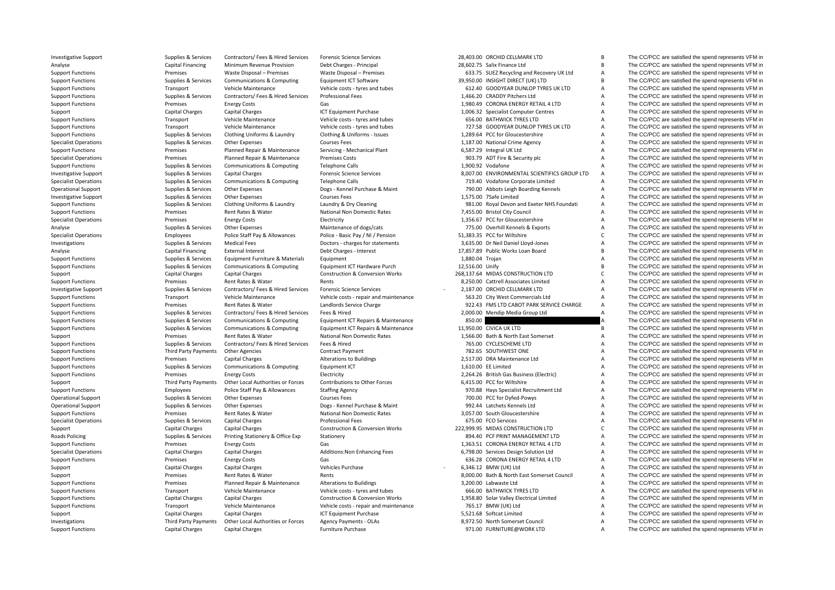**Roads Policing** 

Investigative Support Support Support Support Support Support Support Support Support Support Support Support Support Support Support Support Support Support Support Support Support Support Support Support Support Support

Analyse Capital Financing Minimum Revenue Provision Debt Charges - Principal 28,602.75 Salix Finance Ltd B The CC/PCC are satisfied the spend represents VFM in Support Functions Premises Waste Disposal – Premises Waste Disposal – Premises 633.75 SUEZ Recycling and Recovery UK Ltd A The CC/PCC are satisfied the spend represents VFM in Support Functions Supplies & Services Communications & Computing Faultiment ICT Software 39,950.00 INSIGHT DIRECT (UK) LTD B The CC/PCC are satisfied the spend represents VFM in Support Functions Transport Vehicle Maintenance Vehicle costs - tyres and tubes 612.40 GOODYEAR DUNLOP TYRES UK LTD A The CC/PCC are satisfied the spend represents VFM in Support Functions Supplies & Services Contractors/ Fees & Hired Services Professional Fees 1,466.20 CRADDY Pitchers Ltd A The CC/PCC are satisfied the spend represents VFM in Support Functions The CC/PCC are satisfied the spend represents VFM in energy Costs Gas Gas CORONA ENERGY RETAIL 4 LTD A The CC/PCC are satisfied the spend represents VFM in Support Capital Charges Capital Charges Capital Charges ICT Equipment Purchase 1,006.32 Specialist Computer Centres A The CC/PCC are satisfied the spend represents VFM in Support Centres A The CC/PCC are satisfied the spen Support Functions Transport Vehicle Maintenance Vehicle costs - tyres and tubes 656.00 BATHWICK TYRES LTD A The CC/PCC are satisfied the spend represents VFM in Support Functions Transport Vehicle Maintenance Vehicle costs – tyres and tubes 727.58 GOODYEAR DUNLOP TYRES UK LTD A The CC/PCC are satisfied the spend represents VFM in Support Transport Vehicle Uniforms & Services Cloth Support Functions Supplies & Services Clothing Uniforms & Laundry Clothing & Uniforms - Issues 1,289.64 PCC for Gloucestershire A The CC/PCC are satisfied the spend represents VFM in Specialist Operations Supplies Services Other Expenses Courses Fees Courses Fees 1,187.00 National Crime Agency A The CC/PCC are satisfied the spend represents VFM in Supplies & Services Planned Repair & Maintenance Servic Support Functions Premises Planned Repair & Maintenance Servicing ‐ Mechanical Plant 6,587.29 Integral UK Ltd A The CC/PCC are satisfied the spend represents VFM in Specialist Operations **Premises** Planned Repair & Maintenance Premises Costs 903.79 ADT Fire & Security plc A The CC/PCC are satisfied the spend represents VFM in Support Functions Supplies Supplies & Services Communications & Computing Telephone Calls 1,900.92 Vodafone 1,900.92 Vodafone A The CC/PCC are satisfied the spend represents VFM in Investigative Support The A The CC/PCC ar Investigative Support Support Support Support Support Support Services Capital Charges Forensic Science Services 8,007.00 ENVIRONMENTAL SCIENTIFICS GROUP LTD A The CC/PCC are satisfied the spend represents VFM in Specialist Operations Supplies & Services Communications & Computing Telephone Calls 719.40 Vodafone Corporate Limited A The CC/PCC are satisfied the spend represents VFM in Operational Support Supplies & Services Other Expenses Dogs ‐ Kennel Purchase & Maint 790.00 Abbots Leigh Boarding Kennels A The CC/PCC are satisfied the spend represents VFM in Investigative Support Support Support Support Support Other Expenses Courses Fees Courses Fees 1,575.00 7Safe Limited A The CC/PCC are satisfied the spend represents VFM in Support Functions Supplies & Services Clothing Uniforms & Laundry Laundry & Dry Cleaning 981.00 Royal Devon and Exeter NHS Foundati A The CC/PCC are satisfied the spend represents VFM in Support Functions The CC/PCC are satisfied the spend represents VFM in Premises Rent Rates & Water National Non Domestic Rates 7,455.00 Bristol City Council A The CC/PCC are satisfied the spend represents VFM in Specialist Operations **Energy Costs** Energy Costs Electricity Electricity 1,356.67 PCC for Gloucestershire A The CC/PCC are satisfied the spend represents VFM in Analyse Supplies Services Other Expenses Maintenance of dogs/cats 775.00 Overhill Kennels & Exports A The CC/PCC are satisfied the spend represents VFM in Satisfied the spend represents VFM in Satisfied the spend represent Specialist Operations Employees Police Staff Pay & Allowances Police - Basic Pay / NI / Pension 51,383.35 PCC for Wiltshire C The CC/PCC are satisfied the spend represents VFM in Investigations Supplies & Services Medical Fees Doctors - charges for statements 3,635.00 Dr Neil Daniel Lloyd‐Jones A The CC/PCC are satisfied the spend represents VFM in Analyse Capital Financing External Interest Servic Analyse Capital Financing External Interest Debt Charges - Interest 17,857.89 Public Works Loan Board B The CC/PCC are satisfied the spend represents VFM in Support Functions Supplies Services Equipment Furniture & Materials Equipment Equipment Equipment Equipment Equipment Equipment Equipment CT Hardware Purch 1,880.04 Trojan A The CC/PCC are satisfied the spend represents VF Support Functions Supplies & Services Communications & Computing Faultiment ICT Hardware Purch 12,516.00 Unify B The CC/PCC are satisfied the spend represents VFM in Support Capital Charges Capital Charges Construction & Conversion Works 268.137.64 MIDAS CONSTRUCTION LTD C The CC/PCC are satisfied the spend represents VFM in Support Functions Premises Rent Rates & Water Rents Rents Rents Rents 8,250.00 Cattrell Associates Limited A The CC/PCC are satisfied the spend represents VFM in Investigative Support Support Supplies & Services Contractors/ Fees & Hired Services Forensic Science Services - 2,187.00 ORCHID CELLMARK LTD A The CC/PCC are satisfied the spend represents VFM in Support Functions Transport Vehicle Maintenance Vehicle costs ‐ repair and maintenance 563.20 City West Commercials Ltd A The CC/PCC are satisfied the spend represents VFM in Support Functions The CC/PCC are satisfied the spend represents VFM in Premises Rent Rates & Water Landlords Service Charge 922.43 FMS LTD CABOT PARK SERVICE CHARGE A The CC/PCC are satisfied the spend represents VFM in Support Functions Supplies & Services Contractors/ Fees & Hired Services Fees & Hired 2,000.00 Mendip Media Group Ltd A The CC/PCC are satisfied the spend represents VFM in Support Functions Supplies & Services Communications & Computing Equipment ICT Repairs & Maintenance 850.00 850.00 A The CC/PCC are satisfied the spend represents VFM in Support Functions Supplies & Services Communications & Computing Equipment ICT Repairs & Maintenance 11,950.00 CIVICA UK LTD B The CC/PCC are satisfied the spend represents VFM in Support Premises Rent Rates & Water National Non Domestic Rates 1,566.00 Bath & North East Somerset A The CC/PCC are satisfied the spend represents VFM in Support Premises Support Premises Rent Rates & Water National Non D Support Functions Supplies & Services Contractors/ Fees & Hired Services Fees & Hired 765.00 CYCLESCHEME LTD A The CC/PCC are satisfied the spend represents VFM in Support Functions Third Party Payments Other Agencies Contract Payment Contract Payment 782.65 SOUTHWEST ONE A The CC/PCC are satisfied the spend represents VFM in Support Functions Tremises Capital Charges Alterations Alterations to Buildings 2,517.00 DRA Maintenance Ltd A The CC/PCC are satisfied the spend represents VFM in Support Functions Support Functions Support Support CT (Su Support Functions Supplies & Services Communications & Computing Faulthouse Equipment ICT 1,610.00 EE Limited A The CC/PCC are satisfied the spend represents VFM in Support Functions Premises Energy Costs Energy Costs Electricity Electricity 2,264.26 British Gas Business (Electricity A The CC/PCC are satisfied the spend represents VFM in Support Third Party Payments Other Local Authorities or Forces Contributions to Other Forces 6,415.00 PCC for Wiltshire A The CC/PCC are satisfied the spend represents VFM in Support Functions Employees Police Staff Pay & Allowances Staffing Agency Staffing Agency 970.88 Hays Specialist Recruitment Ltd A The CC/PCC are satisfied the spend represents VFM in Courses Courses Courses Fees Courses F Operational Support Supplies & Services Other Expenses Courses Fees 700.00 PCC for Dyfed-Powys A The CC/PCC are satisfied the spend represents VFM in Operational Support Supplies & Services Other Expenses Dogs - Kennel Purchase & Maint 992.44 Latchets Kennels Ltd A The CC/PCC are satisfied the spend represents VFM in Support Functions Premises Premises Rent Rates & Water National Non Domestic Rates 3,057.00 South Gloucestershire A The CC/PCC are satisfied the spend represents VFM in Specialist Operations Supplies & Services Capital Charges Professional Fees 675.00 FCO Services A The CC/PCC are satisfied the spend represents VFM in Support Capital Charges Capital Charges Capital Charges Construction & Conversion Works 222,999.95 MIDAS CONSTRUCTION LTD C The CC/PCC are satisfied the spend represents VFM in Reads Policing Construction & Conversion Work Policing Supplies & Services Printing Stationery & Office Exp Stationery 894.40 PCF PRINT MANAGEMENT LTD A The CC/PCC are satisfied the spend represents VFM in Support Functions The CC/PCC are satisfied the spend represents VFM in energy Costs Gas Gas CORONA ENERGY RETAIL 4 LTD A The CC/PCC are satisfied the spend represents VFM in Specialist Operations Capital Charges Capital Charges Additions:Non Enhancing Fees 6,798.00 Services Design Solution Ltd A The CC/PCC are satisfied the spend represents VFM in Support Functions energy Costs Functions Premises Energy Costs Gas Gas CORONA ENERGY RETAIL 4 LTD A The CC/PCC are satisfied the spend represents VFM in Support Capital Charges Capital Charges Vehicles Purchase Vehicles Purchase 6,346.12 BMW (UK) Ltd A The CC/PCC are satisfied the spend represents VFM in Support Premises Rent Rates & Water Rents Rents Rents Rents Rents 8,000.00 Bath & North East Somerset Council A The CC/PCC are satisfied the spend represents VFM in Support Functions Support Functions Premises Premises Planned Repair & Maintenance Alterations Alterations and tubes<br>
Support Functions Support Transport VEM in Vehicle Maintenance Vehicle Cost of Vehicle Cost at tyres and Support Functions Transport Vehicle Maintenance Vehicle costs ‐ tyres and tubes 666.00 BATHWICK TYRES LTD A The CC/PCC are satisfied the spend represents VFM in Support Functions Capital Charges Capital Charges Construction & Conversion Works 1,958.80 Solar Valley Flectrical Limited A The CC/PCC are satisfied the spend represents VFM in Support Functions Transport Vehicle Maintenance Vehicle costs ‐ repair and maintenance 765.17 BMW (UK) Ltd A The CC/PCC are satisfied the spend represents VFM in Support Capital Charges Capital Charges Capital Charges ICT Equipment Purchase 5,521.68 Softcat Limited A The CC/PCC are satisfied the spend represents VFM in Investigations Third Party Payments Other Local Authorities or Forces Agency Payments - OLAs 8,972.50 North Somerset Council A The CC/PCC are satisfied the spend represents VFM in Support Functions Capital Charges Capital Support Functions Capital Charges Capital Charges Capital Charges Furniture Purchase Furniture Purchase 971.00 FURNITURE@WORK LTD A The CC/PCC are satisfied the spend represents VFM in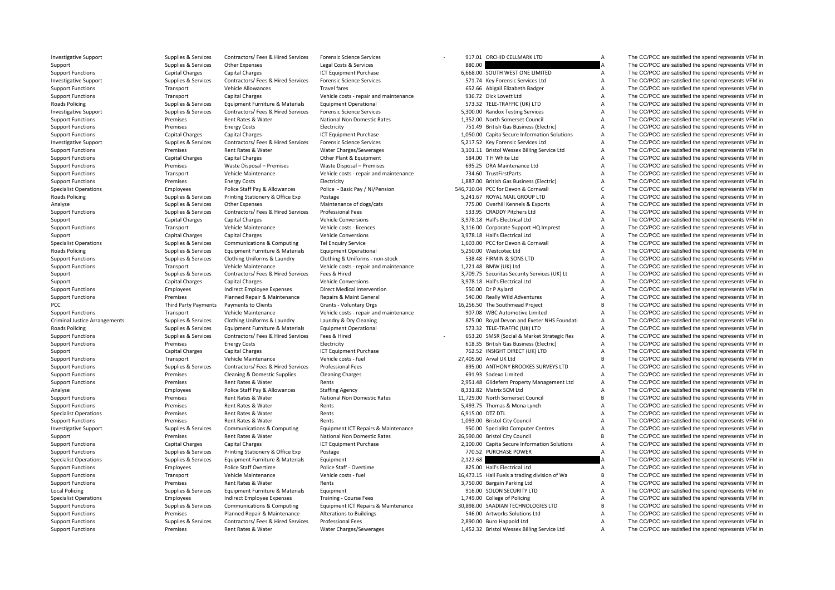**Roads Policing Roads Policing Roads Policing** PCC **Third** Criminal Justice**Roads Policing Local Policing** 

Investigative Support Support Support Support Support Support Support Support Support Support Support Support Support Support Support Support Support Support Support Support Support Support Support Support Support Support Support Supplies & Services Other Expenses Legal Costs & Services 880.00 880.00 A The CC/PCC are satisfied the spend represents VFM in Support Functions Capital Charges Capital Charges Capital Charges ICT Equipment Purchase 6,668.00 SOUTH WEST ONE LIMITED A The CC/PCC are satisfied the spend represents VFM in Investigative Support Support Support Support Support Support Services Contractors/ Fees & Hired Services Forensic Science Services of Services 571.74 Key Forensic Services Ltd A The CC/PCC are satisfied the spend represen Support Functions Transport Vehicle Allowances Travel fares Travel fares 652.66 Abigail Elizabeth Badger A The CC/PCC are satisfied the spend represents VFM in Support Functions Transport Capital Charges Vehicle costs - repair and maintenance 936.72 Dick Lovett Ltd A The CC/PCC are satisfied the spend represents VFM in Supplies & Services Equipment Furniture & Materials Equipment Operational Supplies Assessing Control of the CC/PCC are satisfied the spend represents VFM in Investigative Support Supplies & Services Contractors/ Fees & Hired Services Forensic Science Services 5,300.00 Randox Testing Services A The CC/PCC are satisfied the spend represents VFM in Support Functions Mater Rent Rates & Water National Non Domestic Rates 1,352.00 North Somerset Council A The CC/PCC are satisfied the spend represents VFM in Support Functions The CC/PCC are satisfied the spend represents VFM in Electricity Premises Electricity Electricity The CC/PCC are satisfied the spend represents VFM in Support Functions Capital Charges Capital Charges Capital Charges ICT Equipment Purchase 1,050,00 Capita Secure Information Solutions A The CC/PCC are satisfied the spend represents VFM in Investigative Support Supplies Supplies & Services Contractors/ Fees & Hired Services Forensic Science Services Support Science Services 5,217.52 Key Forensic Services Ltd A The CC/PCC are satisfied the spend represents VF Premises Rent Rates & Water Water Charges/Sewerages 3,101.11 Bristol Wessex Billing Service Ltd A The CC/PCC are satisfied the spend represents VFM in Support Functions Capital Charges Capital Charges Capital Charges Other Plant & Foulpment 584.00 T H White Ltd A The CC/PCC are satisfied the spend represents VFM in Support Functions Support Functions Premises Waste Disposal – Premises Waste Disposal – Premises Waste Disposal – Premises Waste Disposal – Premises 695.25 DRA Maintenance Ltd A The CC/PCC are satisfied the spend represent Support Functions Transport Vehicle Maintenance Vehicle costs - repair and maintenance 734.60 TrustFirstParts A The CC/PCC are satisfied the spend represents VFM in Support Functions Premises Energy Costs Energy Costs Electricity Electricity 1,887.00 British Gas Business (Electricity A The CC/PCC are satisfied the spend represents VFM in Specialist Operations The CC/PCC are satisfied the spend represents VFM in Police Staff Pay & Allowances Police - Basic Pay / NI/Pension 546,710.04 PCC for Devon & Cornwall C The CC/PCC are satisfied the spend represents V Supplies & Services Printing Stationery & Office Exp Postage State Supplies Supplies Supplies The CC/PCC are satisfied the spend represents VFM in Analyse Supplies & Services Other Expenses Maintenance of dogs/cats 775.00 Overhill Kennels & Exports A The CC/PCC are satisfied the spend represents VFM in Support Functions Supplies & Services Contractors/ Fees & Hired Services Professional Fees 533.95 CRADDY Pitchers Ltd A The CC/PCC are satisfied the spend represents VFM in Support Capital Charges Capital Charges Vehicle Conversions Vehicle Conversions 3,978.18 Hall's Electrical Ltd A The CC/PCC are satisfied the spend represents VFM in Support Functions Transport Vehicle Maintenance Vehicle costs - licences 3,116.00 Corporate Support HQ Imprest A The CC/PCC are satisfied the spend represents VFM in Support Capital Charges Capital Charges Vehicle Conversions 3,978.18 Hall's Electrical Ltd A The CC/PCC are satisfied the spend represents VFM in Specialist Operations Supplies & Services Communications & Computing Tel Enquiry Service 1,603.00 PCC for Devon & Cornwall A The CC/PCC are satisfied the spend represents VFM in Policing Supplies & Services Equipment Furniture & Materials Equipment Operational 5,250.00 Westcotec Ltd A The CC/PCC are satisfied the spend represents VFM in Support Functions Supplies & Services Clothing Uniforms & Laundry Clothing & Uniforms - non-stock 538.48 FIRMIN & SONS LTD A The CC/PCC are satisfied the spend represents VFM in Supplies & Services Clothing Uniforms & Laun A The CC/PCC are satisfied the spend represents VFM in Support Supplies & Services Contractors/ Fees & Hired Services Fees & Hired 3,709.75 Securitas Security Services (UK) Lt A The CC/PCC are satisfied the spend represents VFM in Support Capital Charges Capital Charges Vehicle Conversions Vehicle Conversions 3,978.18 Hall's Electrical Ltd A The CC/PCC are satisfied the spend represents VFM in Support Functions Support Employees Indirect Employee Expenses Direct Medical Intervention 550.00 Dr P Aylard A The CC/PCC are satisfied the spend represents VFM in Support Functions Premises Premises Planned Repair & Maintenance Repairs & Maint General 540.00 Really Wild Adventures A The CC/PCC are satisfied the spend represents VFM in Party Payments Payments to Clients Grants ‐ Voluntary Orgs 16,256.50 The Southmead Project B The CC/PCC are satisfied the spend represents VFM in Support Functions Transport Vehicle Maintenance Vehicle costs - repair and maintenance 907.08 WBC Automotive Limited A The CC/PCC are satisfied the spend represents VFM in Arrangements Supplies & Services Clothing Uniforms & Laundry Laundry & Dry Cleaning and States Content Cover 2013.20 Royal Devon and Exeter NHS Foundati A The CC/PCC are satisfied the spend represents VFM in Supplies & Ser Policing Supplies & Services Equipment Furniture & Materials Equipment Operational 573.32 TELE‐TRAFFIC (UK) LTD A The CC/PCC are satisfied the spend represents VFM in Support Functions Supplies & Services Contractors/ Fees & Hired Services Fees & Hired Services Fees & Hired 653.20 SMSR (Social & Market Strategic Res A The CC/PCC are satisfied the spend represents VFM in Support Function Support Functions Premises Energy Costs Electricity 618.35 British Gas Business (Electric) A The CC/PCC are satisfied the spend represents VFM in Support Capital Charges Capital Charges Capital Charges ICT Equipment Purchase 762.52 INSIGHT DIRECT (UK) LTD A The CC/PCC are satisfied the spend represents VFM in Support Functions Transport Transport Vehicle Maintenance Vehicle costs ‐ fuel 27,405.60 Arval UK Ltd B The CC/PCC are satisfied the spend represents VFM in Support Transport Vehicle costs fuel Vehicle costs – fuel 27,405. Support Functions Supplies & Services Contractors/ Fees & Hired Services Professional Fees 895.00 ANTHONY BROOKES SURVEYS LTD A The CC/PCC are satisfied the spend represents VFM in Support Functions Premises Cleaning & Domestic Supplies Cleaning Charges Cleaning Charges Cleaning Charges Cleaning Charges Cleaning Charges Cleaning Charges Cleaning Charges Cleaning Charges Cleaning Charges Cleaning Char Support Functions **Examples** Premises Rent Rates & Water Rents Rents Rents 2,951.48 Glidefern Property Management Ltd A The CC/PCC are satisfied the spend represents VFM in Analyse Collections Employees Police Staff Pay & Allowances Staffing Agency and the Statism and the Statism and Support A The CC/PCC are satisfied the spend represents VFM in Support Functions Premises Rent Rates & Water N Support Functions Premises Rent Rates & Water National Non Domestic Rates 11,729.00 North Somerset Council B The CC/PCC are satisfied the spend represents VFM in Support Functions **Examples** Premises Rent Rates & Water Rents Rents Rents Rents Rents Rents Rent Rates and Rent A The CC/PCC are satisfied the spend represents VFM in Specialist Operations **Specialist Operations** Premises Rent Rates & Water Rents Rents Rents Rents Rents Rents Rent Rates & Water Rents Rent Rents Rents Rents Rent Rents Rent Rents Rent Rents Rent Rents Rent Rent Rent Rent Support Functions Premises Rent Rates & Water Rents Rents Rents Rents 1,093.00 Bristol City Council A The CC/PCC are satisfied the spend represents VFM in Investigative Support Support Support Support Supporters Communications & Computing Equipment ICT Repairs & Maintenance 950.00 Specialist Computer Centres A The CC/PCC are satisfied the spend represents VFM in Support Premises Rent Rates & Water National Non Domestic Rates 26,590.00 Bristol City Council B The CC/PCC are satisfied the spend represents VFM in Support Functions Capital Charges Capital Charges Capital Charges Capital Charges Capital Charges Capital Charges Capita Cequipment Purchase 2,100.00 Capita Secure Information Solutions A The CC/PCC are satisfied the spend Support Functions Supplies & Services Printing Stationery & Office Exp Postage Postage 770.52 PURCHASE POWER A The CC/PCC are satisfied the spend represents VFM in Specialist Operations Supplies & Services Equipment Furnit Specialist Operations Supplies & Services Equipment Furniture & Materials Equipment Current Current 2,122.68 A The CC/PCC are satisfied the spend represents VFM in Support Functions Employees Police Staff Overtime Police Staff - Overtime Police Staff - Overtime 825.00 Hall's Electrical Ltd A The CC/PCC are satisfied the spend represents VFM in Support Functions Transport Vehicle Maintenance Vehicle costs - fuel 16,473.15 Hall Fuels a trading division of Wa B The CC/PCC are satisfied the spend represents VFM in Support Functions Support Functions Support Controller Rents Rents Rents Rents Rents Are a Support Functions A The CC/PCC are satisfied the spend represents VFM in a material of the Support Function of the Support Parking Policing Supplies & Services Equipment Furniture & Materials Equipment 916.00 SOLON SECURITY LTD A The CC/PCC are satisfied the spend represents VFM in Specialist Operations Employees Indirect Employee Expenses Training - Course Fees 1,749.00 College of Policing A The CC/PCC are satisfied the spend represents VFM in Support Functions Supplies & Services Communications & Computing Equipment ICT Repairs & Maintenance 30,898.00 SAADIAN TECHNOLOGIES LTD B The CC/PCC are satisfied the spend represents VFM in Support Functions **Premises** Planned Repair & Maintenance Alterations to Buildings 546.00 Artworks Solutions Ltd A The CC/PCC are satisfied the spend represents VFM in Support Functions Supplies & Services Contractors/ Fees & Hired Services Professional Fees 2,890.00 Buro Happold Ltd 2,890.00 Buro Happold Ltd A The CC/PCC are satisfied the spend represents VFM in Support Functions Premis Support Functions Premises Rent Rates & Water Water Charges/Sewerages 1,452.32 Bristol Wessex Billing Service Ltd A The CC/PCC are satisfied the spend represents VFM in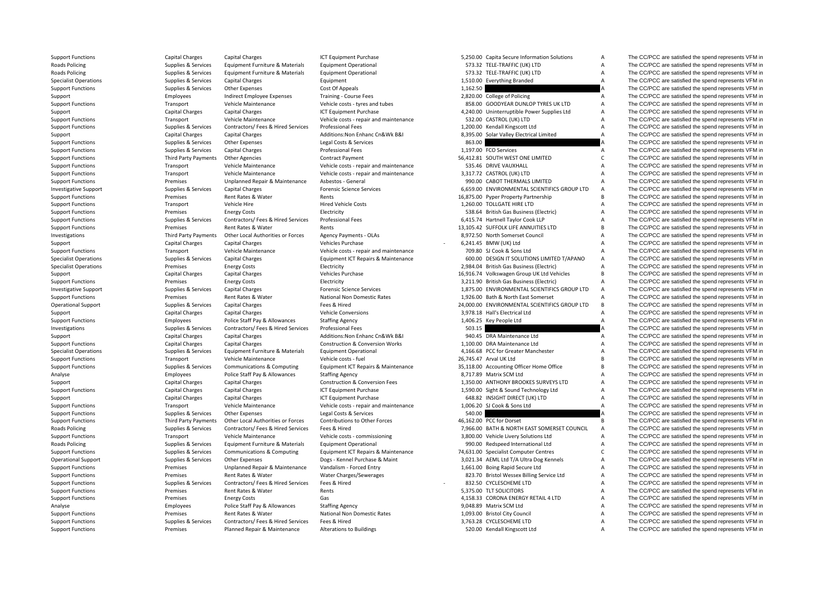**Roads Policing Roads Policing Roads Policing Roads Policing** 

Support Functions Capital Charges Capital Charges Capital Charges ICT Equipment Purchase 5,250.00 Capita Secure Information Solutions A The CC/PCC are satisfied the spend represents VFM in

 Policing Supplies & Services Equipment Furniture & Materials Equipment Operational 573.32 TELE‐TRAFFIC (UK) LTD A The CC/PCC are satisfied the spend represents VFM in Policing Supplies & Services Equipment Furniture & Materials Equipment Operational 573.32 TELE‐TRAFFIC (UK) LTD A The CC/PCC are satisfied the spend represents VFM in Specialist Operations Supplies & Services Capital Charges Equipment Equipment 1,510.00 Everything Branded A The CC/PCC are satisfied the spend represents VFM in Support Functions Supplies & Services Other Expenses Cost Of Appeals Cost Of Appeals 1,162.50 A The CC/PCC are satisfied the spend represents VFM in Support Employees Support Employee Expenses Training - Course Fees 2,820.00 College of Policing A The CC/PCC are satisfied the spend represents VFM in Support Functions Transport Vehicle Maintenance Vehicle costs - tyres and tubes 858.00 GOODYEAR DUNLOP TYRES UK LTD A The CC/PCC are satisfied the spend represents VFM in Support Capital Charges Capital Charges Capital Charges Capital Charges ICT Equipment Purchase 1000 and the manage 4,240.00 Uninterruptible Power Supplies Ltd A The CC/PCC are satisfied the spend represents VFM in Support Support Functions Transport Vehicle Maintenance Vehicle costs - repair and maintenance 532.00 CASTROL (UK) LTD A The CC/PCC are satisfied the spend represents VFM in Support Vehicle Costs - repair and maintenance 532.00 CA Support Functions Supplies Services Contractors/ Fees & Hired Services Professional Fees Professional Fees and Exercise 1,200.00 Kendall Kingscott Ltd A The CC/PCC are satisfied the spend represents VFM in Support A The CC Support Capital Charges Capital Charges Additions:Non Enhanc Cn&Wk B&I 8,395.00 Solar Valley Flectrical Limited A The CC/PCC are satisfied the spend represents VFM in Support Functions Supplies Americas Supplies & Services Cher Expenses Legal Costs & Services Cupitations and the Services Copyright of the COPCC are satisfied the spend represents VFM in Support Functions Supplies & Servic Capital Charges **Supplies Capital Charges** Professional Fees **1,197.00** FCO Services **CAPITAL CONTINUES A The CC/PCC** are satisfied the spend represents VFM in Charges Contract Payment Supplies and CAPITAL CONTINUES CONTIN Support Functions Third Party Payments Other Agencies Contract Payment 56,412.81 SOUTH WEST ONE LIMITED C The CC/PCC are satisfied the spend represents VFM in Support Functions Transport Vehicle Maintenance Vehicle costs - repair and maintenance 535.46 DRIVE VAUXHALL A The CC/PCC are satisfied the spend represents VFM in<br>Support Functions Transport Vehicle Maintenance Vehicle co Support Functions Transport Vehicle Maintenance Vehicle costs - repair and maintenance 3,317.72 CASTROL (UK) LTD A The CC/PCC are satisfied the spend represents VFM in Support Functions Premises Premises Unplanned Repair & Maintenance Asbestos ‐ General 990.00 CABOT THERMALS LIMITED A The CC/PCC are satisfied the spend represents VFM in Investigative Support Support Supplies & Services Capital Charges Forensic Science Services Forensic Science Services 6,659.00 ENVIRONMENTAL SCIENTIFICS GROUP LTD A The CC/PCC are satisfied the spend represents VFM in Support Functions **Premises** Rent Rates & Water Rents Rents Rents and Rents 16,875.00 Pyper Property Partnership B The CC/PCC are satisfied the spend represents VFM in Support Functions Transport Vehicle Hire Hired Vehicle Costs and Hired Vehicle Costs 1,260.00 TOLLGATE HIRE LTD A The CC/PCC are satisfied the spend represents VFM in Support Functions Support Energy Costs Energy Costs Electricity Electricity 538.64 British Gas Business (Electricity A The CC/PCC are satisfied the spend represents VFM in Support Functions Supplies & Services Contractors/ Fees & Hired Services Professional Fees 6,415.74 Hartnell Taylor Cook LLP A The CC/PCC are satisfied the spend represents VFM in Support Functions **Support Functions** Premises Rent Rates & Water Rents Rents Rents Rents Rent Rates and Rent Rates Rent Rates & Water Rents Rents Rent Rents 13,105.42 SUFFOLK LIFE ANNUITIES LTD B The CC/PCC are satisfied Investigations Third Party Payments Other Local Authorities or Forces Agency Payments - OLAs 8,972.50 North Somerset Council A The CC/PCC are satisfied the spend represents VFM in Support Capital Charges Capital Charges Vehicles Purchase Vehicles Purchase 6,241.45 BMW (UK) Ltd A The CC/PCC are satisfied the spend represents VFM in Support Functions Transport Vehicle Maintenance Vehicle costs - repair and maintenance 709.80 SJ Cook & Sons Ltd A The CC/PCC are satisfied the spend represents VFM in Specialist Operations Supplies & Services Capital Charges Supplies Equipment ICT Repairs & Maintenance 600.00 DESIGN IT SOLUTIONS LIMITED T/APANO A The CC/PCC are satisfied the spend represents VFM in Services Freew Costs Specialist Operations Premises Energy Costs Electricity 2,984.04 British Gas Business (Electric) A The CC/PCC are satisfied the spend represents VFM in Support Capital Charges Capital Charges Vehicles Purchase Vehicles Purchase 16,916.74 Volkswagen Group UK Ltd Vehicles B The CC/PCC are satisfied the spend represents VFM in Support Functions The CC/PCC are satisfied the spend represents VFM in a premises Energy Costs Electricity Electricity and Electricity 3,211.90 British Gas Business (Electric) A The CC/PCC are satisfied the spend represent Investigative Support Support Supplies & Services Capital Charges Forensic Science Services Forensic Science Services 1,875.00 ENVIRONMENTAL SCIENTIFICS GROUP LTD A The CC/PCC are satisfied the spend represents VFM in Support Functions Premises Rent Rates & Water National Non Domestic Rates 1,926.00 Bath & North East Somerset A The CC/PCC are satisfied the spend represents VFM in Operational Support Supplies & Services Capital Charges Fees & Hired Fees & Hired 24,000.00 ENVIRONMENTAL SCIENTIFICS GROUP LTD B The CC/PCC are satisfied the spend represents VFM in Support Capital Charges Capital Charges Vehicle Conversions Vehicle Conversions 3,978.18 Hall's Electrical Ltd A The CC/PCC are satisfied the spend represents VFM in Support Functions Employees Police Staff Pay & Allowances Staffing Agency 1,406.25 Key People Ltd A The CC/PCC are satisfied the spend represents VFM in Investigations Supplies & Services Contractors/ Fees & Hired Services Professional Fees 503.15 503.15 A The CC/PCC are satisfied the spend represents VFM in Support Capital Charges Capital Charges Capital Charges Additions:Non Enhanc Cn&Wk B&I 940.45 DRA Maintenance Ltd A The CC/PCC are satisfied the spend represents VFM in Support Capital Charges Capital Charges Capital Charg Support Functions Capital Charges Capital Charges Construction & Conversion Works 1,100.00 DRA Maintenance Ltd A The CC/PCC are satisfied the spend represents VFM in Specialist Operations Supplies & Services Equipment Furniture & Materials Equipment Operational 4,166.68 PCC for Greater Manchester A The CC/PCC are satisfied the spend represents VFM in Support Functions Transport Vehicle Maintenance Vehicle costs - fuel Vehicle costs - fuel 26,745.47 Arval UK Ltd B The CC/PCC are satisfied the spend represents VFM in Support Punctions Support Inc. 26,745.47 Arval UK Ltd The CC/PCC are satisfied the spend represents VFM in Analyse Employees Police Staff Pay & Allowances Staffing Agency 8,717.89 Matrix SCM Ltd A The CC/PCC are satisfied the spend represents VFM in Support Capital Charges Capital Charges Construction & Conversion Fees 1,350.00 ANTHONY BROOKES SURVEYS LTD A The CC/PCC are satisfied the spend represents VFM in Support Functions Capital Charges Capital Charges Capital Charges Capital Charges Capital Charges Capital Charges ICT Equipment Purchase 1,590.00 Sight & Sound Technology Ltd A The CC/PCC are satisfied the spend represents Support Capital Charges Capital Charges Capital Charges ICT Equipment Purchase 648.82 INSIGHT DIRECT (UK) LTD A The CC/PCC are satisfied the spend represents VFM in Support Functions Transport Vehicle Maintenance Vehicle costs - repair and maintenance 1,006.20 SJ Cook & Sons Ltd A The CC/PCC are satisfied the spend represents VFM in Support Functions Supplies & Services Other Expenses Legal Costs & Services 540.00 540.00 A The CC/PCC are satisfied the spend represents VFM in Support Functions Third Party Payments Other Local Authorities or Forces Contributions to Other Forces 46,162.00 PCC for Dorset B The CC/PCC are satisfied the spend represents VFM in Policing Supplies & Services Contractors/ Fees & Hired Services Fees & Hired 7,966.00 BATH & NORTH EAST SOMERSET COUNCIL A The CC/PCC are satisfied the spend represents VFM in Support Functions Transport Vehicle Maintenance Vehicle costs ‐ commissioning 3,800.00 Vehicle Livery Solutions Ltd A The CC/PCC are satisfied the spend represents VFM in Policing Supplies & Services Equipment Furniture & Materials Equipment Operational 990.00 Redspeed International Ltd A The CC/PCC are satisfied the spend represents VFM in Support Functions Supplies & Services Communications & Computing Equipment ICT Repairs & Maintenance 74,631.00 Specialist Computer Centres C The CC/PCC are satisfied the spend represents VFM in Operational Support Supplies & Services Other Expenses Dogs ‐ Kennel Purchase & Maint 3,021.34 AEML Ltd T/A Ultra Dog Kennels A The CC/PCC are satisfied the spend represents VFM in Support Functions Premises Premises Unplanned Repair & Maintenance Vandalism - Forced Entry 1,661.00 Boing Rapid Secure Ltd A The CC/PCC are satisfied the spend represents VFM in Support Functions **Premises** Rent Rates & Water Water Charges/Sewerages 823.70 Bristol Wessex Billing Service Ltd A The CC/PCC are satisfied the spend represents VFM in Support Functions Supplies Services Contractors/ Fees & Hired Services Fees & Hired Services Fees & Hired Services Fees & Hired Services Fees & Hired Services Services Rent Rates & Water Rents Rents Rents Rents Services Re Support Functions Premises Rent Rates & Water Rents 5,375.00 TLT SOLICITORS A The CC/PCC are satisfied the spend represents VFM in Support Functions Premises Freew Costs Gas Gas A.158.33 CORONA ENFRGY RETAIL 4 LTD A The CC/PCC are satisfied the spend represents VFM in Analyse Employees Police Staff Pay & Allowances Staffing Agency 9,048.89 Matrix SCM Ltd A The CC/PCC are satisfied the spend represents VFM in Support Functions The CC/PCC are satisfied the spend represents VFM in Premises Rent Rates Rent Rates Rent Rates National Non Domestic Rates 1,093.00 Bristol City Council A The CC/PCC are satisfied the spend represents VFM Support Functions Supplies A Services Contractors/ Fees & Hired Services Fees & Hired Services Fees & Hired 3,763.28 CYCLESCHEME LTD A The CC/PCC are satisfied the spend represents VFM in Support Functions of the Services Support Functions Premises Planned Repair & Maintenance Alterations to Buildings 520.00 Kendall Kingscott Ltd A The CC/PCC are satisfied the spend represents VFM in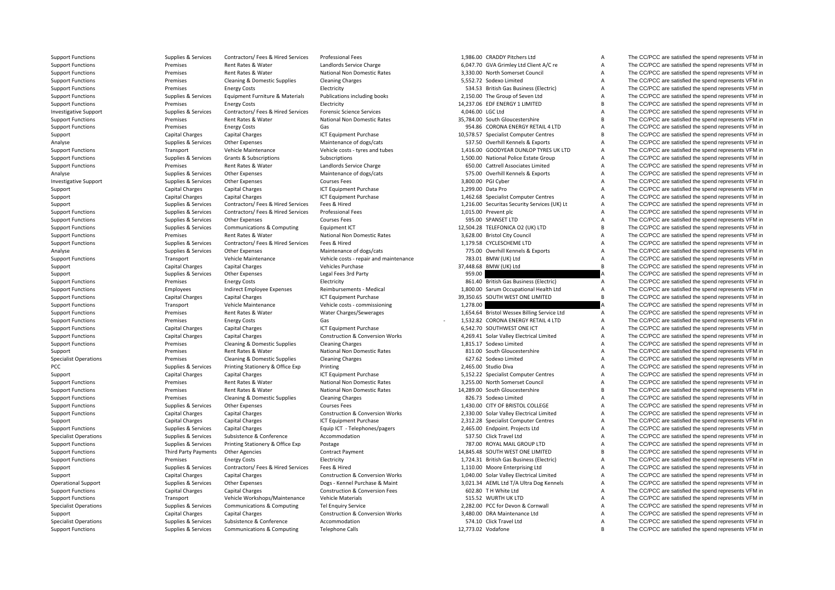Support Functions Supplies & Services Contractors/ Fees & Hired Services Professional Fees 1,986.00 CRADDY Pitchers Ltd A The CC/PCC are satisfied the spend represents VFM in Support Functions Premises Rent Rates & Water Landlords Service Charge 6,047.70 GVA Grimley Ltd Client A/C re A The CC/PCC are satisfied the spend represents VFM in Support Functions **Premises** Rent Rates & Water National Non Domestic Rates 3,330.00 North Somerset Council A The CC/PCC are satisfied the spend represents VFM in Support Functions Support Cleaning & Domestic Supplies Cleaning Charges Cleaning Charges 5,552.72 Sodexo Limited A The CC/PCC are satisfied the spend represents VFM in Support Functions Support Energy Costs Energy Costs Electricity Electricity 534.53 British Gas Business (Electricic A The CC/PCC are satisfied the spend represents VFM in Support Functions Supplies & Services Faujoment Furniture & Materials Publications including books 2,150.00 The Group of Seven Ltd A The CC/PCC are satisfied the spend represents VFM in Support Functions The CC/PCC are satisfied the spend represents VFM in energy Costs Energy Costs Electricity Electricity Electricity Electricity 14,237.06 EDF ENERGY 1 LIMITED B The CC/PCC are satisfied the spend represent Investigative Support Supplies & Services Contractors/ Fees & Hired Services Forensic Science Services 4,046.00 LGC Ltd A The CC/PCC are satisfied the spend represents VFM in Support Functions Mater Rent Rates & Water National Non Domestic Rates 35,784.00 South Gloucestershire B The CC/PCC are satisfied the spend represents VFM in Support Functions Support Functions Premises Energy Costs Gas Gas Gas Base of the CO/PCC are satisfied the spend represents VFM in Support Purchase and the Support Purchase Capital Charges Capital Charges Capital Charges C Support Capital Charges Capital Charges Capital Charges ICT Equipment Purchase 10,578.57 Specialist Computer Centres B The CC/PCC are satisfied the spend represents VFM in Analyse Supplies Services Other Expenses Maintenance of dogs/cats 537.50 Overhill Kennels & Exports A The CC/PCC are satisfied the spend represents VFM in Supplies & Services Other Expenses Maintenance Medicine onto the Sp Support Functions Transport Transport Vehicle Maintenance Vehicle costs - tyres and tubes 1,416.00 GOODYEAR DUNLOP TYRES UK LTD A The CC/PCC are satisfied the spend represents VFM in Support Transport Vehicle Costs in the Support Functions Supplies & Services Grants & Subscriptions Subscriptions Subscriptions Subscriptions (Subscriptions 1,500.00 National Police Estate Group A The CC/PCC are satisfied the spend represents VFM in Support Functions Support Functions Premises Rent Rates & Water Landlords Service Charge 650.00 Cattrell Associates Limited A The CC/PCC are satisfied the spend represents VFM in Analyse States and Support in the CC/PCC ar Analyse Supplies Services Other Expenses Maintenance of dogs/cats 575.00 Overhill Kennels & Exports A The CC/PCC are satisfied the spend represents VFM in Investigative Support Support Support Support Support Support Support Support Support Support Support Support Support Support Support Support Support Support Support Support Support Support Support Support Support Support Support Capital Charges Capital Charges Capital Charges ICT Equipment Purchase 1,299.00 Data Pro A The CC/PCC are satisfied the spend represents VFM in Support Capital Charges Capital Charges Capital Charges ICT Equipment Purchase 1,462.68 Specialist Computer Centres A The CC/PCC are satisfied the spend represents VFM in Supplies & Services Contractors/ Fees & Hired Services Fees & Hired 1,216.00 Securitas Security Services (UK) Lt A The CC/PCC are satisfied the spend represents VFM in Support Functions Supplies & Services Contractors/ Fees & Hired Services Professional Fees 1,015.00 Prevent plc A The CC/PCC are satisfied the spend represents VFM in Support Functions Supplies & Services Other Expenses Courses Fees Courses Fees 595.00 SPANSET LTD A The CC/PCC are satisfied the spend represents VFM in Support Functions Supplies & Services Communications & Computing Equipment ICT 12,504.28 TELEFONICA O2 (UK) LTD B The CC/PCC are satisfied the spend represents VFM in Support Functions and Premises Rent Rates & Water National Non Domestic Rates 3,628.00 Bristol City Council A The CC/PCC are satisfied the spend represents VFM in Support Functions Supplies & Services Contractors/ Fees & Hired Services Fees & Hired Services Fees & Hired 1,179.58 CYCLESCHEME LTD A The CC/PCC are satisfied the spend represents VFM in Analyse Support Functions Supplies Analyse Supplies & Services Other Expenses Maintenance of dogs/cats 775.00 Overhill Kennels & Exports A The CC/PCC are satisfied the spend represents VFM in Support Functions Transport Vehicle Maintenance Vehicle costs - repair and maintenance 783.01 BMW (UK) Ltd A The CC/PCC are satisfied the spend represents VFM in Support Transport Vehicle Costs and the spend represents VFM Support Capital Charges Capital Charges Vehicles Purchase 37,448.68 BMW (UK) Ltd B The CC/PCC are satisfied the spend represents VFM in Support Support Supportes Supportes Supported Supported Support of the Expenditus Control of the Support of the Support of the Support of the Support of the Support of the Support of the Support of the Support of the Suppo Support Functions energy Costs Energy Costs Electricity Electricity and Support Based and The CC/PCC are satisfied the spend represents VFM in Support Functions Employees Indirect Employee Expenses Reimbursements - Medical 1,800.00 Sarum Occupational Health Ltd A The CC/PCC are satisfied the spend represents VFM in Support Functions Capital Charges Capital Charges Capital Charges ICT Equipment Purchase 39,350.65 SOUTH WEST ONE LIMITED B The CC/PCC are satisfied the spend represents VFM in Support Functions Transport Vehicle Maintenance Vehicle costs ‐ commissioning 1,278.00 1,278.00 A The CC/PCC are satisfied the spend represents VFM in Support Functions Premises Rent Rates & Water Water Charges/Sewerages 1,654.64 Bristol Wessex Billing Service Ltd A The CC/PCC are satisfied the spend represents VFM in Support Functions Support Functions Premises Energy Costs Gas Gas Gas - 1,532.82 CORONA ENERGY RETAIL 4 LTD A The CC/PCC are satisfied the spend represents VFM in Support Functions Capital Charges Capital Charges Capital C Support Functions Capital Charges Capital Charges Capital Charges ICT Capital Charges Capital Charges Capital Charges ICT Capital Charges ICT 60 and the Spend represents VFM in Support Functions Capital Charges Capital Charges Construction & Conversion Works 4,269.41 Solar Valley Electrical Limited A The CC/PCC are satisfied the spend represents VFM in Support Functions **Premises** Cleaning & Domestic Supplies Cleaning Charges 1,815.17 Sodexo Limited A The CC/PCC are satisfied the spend represents VFM in Support Premises Rent Rates & Water National Non Domestic Rates 811.00 South Gloucestershire A The CC/PCC are satisfied the spend represents VFM in Specialist Operations Specialist Operations Specialist Operations Cleaning & Domestic Supplies Cleaning Charges Cleaning Charges Cleaning Charges Cleaning Charges 627.62 Sodexo Limited A The CC/PCC are satisfied the spend PCC Supplies & Services Printing Stationery & Office Exp Printing 2,465.00 Studio Diva A The CC/PCC are satisfied the spend represents VFM in Support Capital Charges Capital Charges Capital Charges ICT Equipment Purchase 5,152.22 Specialist Computer Centres A The CC/PCC are satisfied the spend represents VFM in Support Functions Premises Rent Rates & Water National Non Domestic Rates 3,255.00 North Somerset Council A The CC/PCC are satisfied the spend represents VFM in Support Functions Premises Rent Rates & Water National Non Domestic Rates 14,289.00 South Gloucestershire B The CC/PCC are satisfied the spend represents VFM in Support Functions **Premises** Cleaning & Domestic Supplies Cleaning Charges Cleaning Charges 826.73 Sodexo Limited A The CC/PCC are satisfied the spend represents VFM in Support Functions Supplies & Services Other Expenses Courses Fees Courses Fees 1,430.00 CITY OF BRISTOL COLLEGE A The CC/PCC are satisfied the spend represents VFM in Support Functions Capital Charges Capital Charges Construction & Conversion Works 2,330.00 Solar Valley Electrical Limited A The CC/PCC are satisfied the spend represents VFM in Support Capital Charges Capital Charges Capital Charges ICT Equipment Purchase 2,312.28 Specialist Computer Centres A The CC/PCC are satisfied the spend represents VFM in Support Functions Supplies & Services Capital Charges Equip ICT - Telephones/pagers 2,465.00 Endpoint. Projects Ltd A The CC/PCC are satisfied the spend represents VFM in Specialist Operations Supplies & Services Subsistence & Conference Accommodation 537.50 Click Travel Ltd A The CC/PCC are satisfied the spend represents VFM in Support Functions Supplies & Services Printing Stationery & Office Exp Postage 787.00 ROYAL MAIL GROUP LTD A The CC/PCC are satisfied the spend represents VFM in Support Functions Third Party Payments Other Agencies Contract Payment Contract Payment 14,845.48 SOUTH WEST ONE LIMITED B The CC/PCC are satisfied the spend represents VFM in Support Functions energy Costs Energy Costs Electricity Electricity and the Support Electricity 1,724.31 British Gas Business (Electricity A The CC/PCC are satisfied the spend represents VFM in Support Supplies & Services Contractors/ Fees & Hired Services Fees & Hired 1,110.00 Moore Enterprising Ltd A The CC/PCC are satisfied the spend represents VFM in Support Capital Charges Capital Charges Capital Charges Construction & Conversion Works 1,040.00 Solar Valley Electrical Limited A The CC/PCC are satisfied the spend represents VFM in Conversion Works 2,021.34 AEML Ltd T/A Operational Support Supplies & Services Other Expenses Dogs ‐ Kennel Purchase & Maint 3,021.34 AEML Ltd T/A Ultra Dog Kennels A The CC/PCC are satisfied the spend represents VFM in Support Capital Charges Capital Charges C Support Functions Capital Charges Capital Charges Construction & Conversion Fees 602.80 T H White Ltd A The CC/PCC are satisfied the spend represents VFM in Support Functions Support Transport Vehicle Workshops/Maintenance Vehicle Materials 515.52 WURTH UK LTD A The CC/PCC are satisfied the spend represents VFM in Specialist Operations Supplies & Services Communications & Computing Tel Enquiry Service 2,282.00 PCC for Devon & Cornwall A The CC/PCC are satisfied the spend represents VFM in Support Capital Charges Capital Charges Capital Charges Construction & Conversion Works 3,480.00 DRA Maintenance Ltd A The CC/PCC are satisfied the spend represents VFM in Specialist Operations Subsiles Services Subsistence & Conference Accommodation Strates Subsistence Accommodation Subsistence Accommodation 574.10 Click Travel Ltd A The CC/PCC are satisfied the spend represents VFM in Supp Support Functions Supplies & Services Communications & Computing Telephone Calls 12,773.02 Vodafone 31,773.02 Vodafone B The CC/PCC are satisfied the spend represents VFM in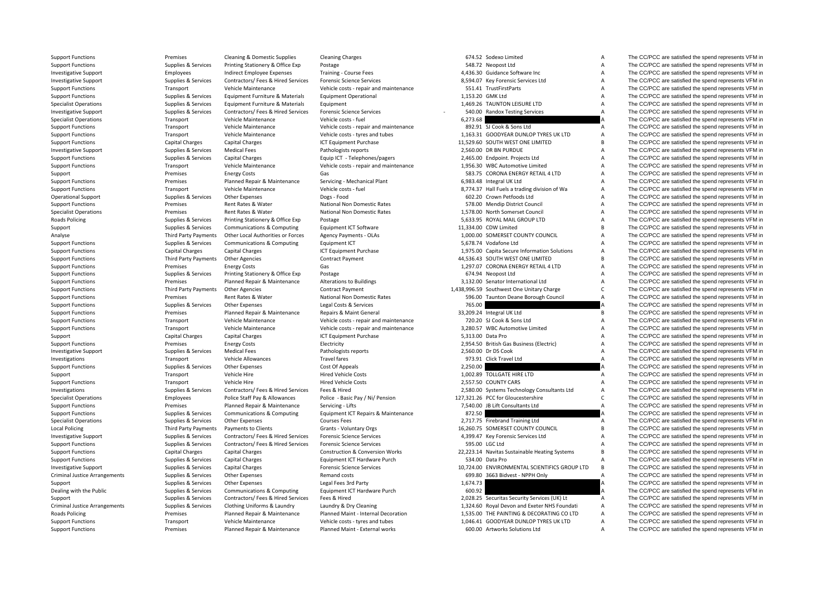**Roads Policing Local Policing** Criminal JusticeCriminal Justice**Roads Policing** 

Support Functions **Premises** Cleaning & Domestic Supplies Cleaning Charges 674.52 Sodexo Limited A The CC/PCC are satisfied the spend represents VFM in

Support Functions Supplies & Services Printing Stationery & Office Exp Postage Support Stational Stationery & Office Exp Postage 548.72 Neopost Ltd 548.72 Neopost Ltd A The CC/PCC are satisfied the spend represents VFM in Investigative Support Employees Indirect Employee Expenses Training ‐ Course Fees 4,436.30 Guidance Software Inc A The CC/PCC are satisfied the spend represents VFM in Investigative Support Support Support Support Support Support Services Contractors/ Fees & Hired Services Forensic Science Services 8,594.07 Key Forensic Services Ltd A The CC/PCC are satisfied the spend represents VFM in Support Functions Transport Vehicle Maintenance Vehicle costs - repair and maintenance 551.41 TrustFirstParts A The CC/PCC are satisfied the spend represents VFM in Support Functions Supplies & Services Faujoment Furniture & Materials Faujoment Operational 1,153.20 GMK Ltd A The CC/PCC are satisfied the spend represents VFM in Specialist Operations Supplies & Services Equipment Furniture & Materials Equipment Furniture & Materials Equipment Furniture & Materials Equipment 1,469.26 TAUNTON LEISURE LTD A The CC/PCC are satisfied the spend represen Investigative Support Supplies & Services Contractors/ Fees & Hired Services Forensic Science Services - 540.00 Randox Testing Services A The CC/PCC are satisfied the spend represents VFM in Specialist Operations Transport Vehicle Maintenance Vehicle costs - fuel 6,273.68 A The CC/PCC are satisfied the spend represents VFM in Support Functions Transport Vehicle Maintenance Vehicle costs - repair and maintenance 892.91 SJ Cook & Sons Ltd A The CC/PCC are satisfied the spend represents VFM in<br>Support Functions Transport Vehicle Maintenance Vehicl Support Functions Transport Vehicle Maintenance Vehicle costs - tyres and tubes 1,163.31 GOODYEAR DUNLOP TYRES UK LTD A The CC/PCC are satisfied the spend represents VFM in Support Functions Capital Charges Capital Charges Capital Charges ICT Equipment Purchase 11,529.60 SOUTH WEST ONE LIMITED B The CC/PCC are satisfied the spend represents VFM in Investigative Support Capital Charges Support Investigative Support Support Support Support Support Support Medical Fees Pathologists reports 2,560.00 DR BN PURDUE A The CC/PCC are satisfied the spend represents VFM in Support Functions Supplies & Services Capital Charges Equip ICT ‐ Telephones/pagers 2,465.00 Endpoint. Projects Ltd A The CC/PCC are satisfied the spend represents VFM in Support Functions Transport Vehicle Maintenance Vehicle costs - repair and maintenance 1,956.30 WBC Automotive Limited A The CC/PCC are satisfied the spend represents VFM in Satisfied the spend represents VFM in Satisfied Support Premises Finergy Costs Gas Gas 583.75 CORONA ENERGY RETAIL 4 LTD A The CC/PCC are satisfied the spend represents VFM in Support Functions Premises Premises Planned Repair & Maintenance Servicing - Mechanical Plant 6,983.48 Integral UK Ltd A The CC/PCC are satisfied the spend represents VFM in Support Functions Transport Vehicle Maintenance Vehicle costs ‐ fuel 8,774.37 Hall Fuels a trading division of Wa A The CC/PCC are satisfied the spend represents VFM in Operational Support Support Support Support Support Other Expenses Other Expenses Dogs - Food 602.20 Crown Petfoods Ltd A The CC/PCC are satisfied the spend represents VFM in Support Functions Support Functions Premises Rent Rates & Water National Non Domestic Rates 578.00 Mendip District Council A The CC/PCC are satisfied the spend represents VFM in Specialist Operations Premises Rent Rates & Water National Non Domestic Rates 1,578.00 North Somerset Council A The CC/PCC are satisfied the spend represents VFM in Policing Supplies & Services Printing Stationery & Office Exp Postage 5,633.95 ROYAL MAIL GROUP LTD A The CC/PCC are satisfied the spend represents VFM in Support Supplies & Services Communications & Computing Equipment ICT Software 11,334.00 CDW Limited B The CC/PCC are satisfied the spend represents VFM in<br>Third Party Payments Other Local Authorities or Forces Agency Payme Analyse Third Party Payments Other Local Authorities or Forces Agency Payments ‐ OLAs 1,000.00 SOMERSET COUNTY COUNCIL A The CC/PCC are satisfied the spend represents VFM in Support Functions Supplies Supplies & Services Communications & Computing Equipment ICT Support The Services Computing Equipment ICT 5,678.74 Vodafone Ltd A The CC/PCC are satisfied the spend represents VFM in Support Func Support Functions Capital Charges Capital Charges ICT Equipment Purchase 1,975.00 Capital Secure Information Solutions A The CC/PCC are satisfied the spend represents VFM in Support Functions Third Party Payments Other Agencies Contract Payment Contract Payment 44,536.43 SOUTH WEST ONE LIMITED B The CC/PCC are satisfied the spend represents VFM in Support Functions Free Section of the Spend re Support Functions Premises Energy Costs Gas 1,297.07 CORONA ENERGY RETAIL 4 LTD A The CC/PCC are satisfied the spend represents VFM in Support Functions Supplies & Services Printing Stationery & Office Exp Postage Printing Stationery & Office Exp Postage 674.94 Neopost Ltd A The CC/PCC are satisfied the spend represents VFM in Support Functions Premises Premises Planned Repair & Maintenance Alterations to Buildings 3,132.00 Senator International Ltd A The CC/PCC are satisfied the spend represents VFM in Support Functions Third Party Payments Other Agencies Contract Payment Contract Payment 1,438,996.59 Southwest One Unitary Charge C The CC/PCC are satisfied the spend represents VFM in Support Functions Premises Rent Rates & Water National Non Domestic Rates 596.00 Taunton Deane Borough Council A The CC/PCC are satisfied the spend represents VFM in Support Functions Supplies & Services Other Expenses Legal Costs & Services 765.00 765.00 A The CC/PCC are satisfied the spend represents VFM in Support Functions Premises Premises Planned Repair & Maintenance Repairs & Maint General 33,209.24 Integral UK Ltd B The CC/PCC are satisfied the spend represents VFM in Support Functions Transport Vehicle Maintenance Vehicle costs ‐ repair and maintenance 720.20 SJ Cook & Sons Ltd A The CC/PCC are satisfied the spend represents VFM in Support Functions Transport Vehicle Maintenance Vehicle costs - repair and maintenance 3,280.57 WBC Automotive Limited A The CC/PCC are satisfied the spend represents VFM in Support Capital Charges Capital Charges Capital Charges ICT Equipment Purchase 5,313.00 Data Pro A The CC/PCC are satisfied the spend represents VFM in Support Functions **Electricity** Electricity Electricity **Electricity** 2,954.50 British Gas Business (Electricity A The CC/PCC are satisfied the spend represents VFM in Investigative Support Supplies & Services Medical Fees Pathologists reports 2,560.00 Dr DS Cook A The CC/PCC are satisfied the spend represents VFM in Investigations Transport Transport Vehicle Allowances Travel Travel fares Travel fares 973.91 Click Travel Ltd A The CC/PCC are satisfied the spend represents VFM in Supplies & Services Other Expenses Cost Of Appeals (Cost Supplies & Services Other Expenses Cost Of Appeals Cost Of Appeals 2,250.00 2,250.00 A The CC/PCC are satisfied the spend represents VFM in Support Transport Vehicle Hire Hired Vehicle Costs 1,002.89 TOLLGATE HIRE LTD A The CC/PCC are satisfied the spend represents VFM in Support Functions Transport Vehicle Hire Hired Vehicle Costs 2,557.50 COUNTY CARS A The CC/PCC are satisfied the spend represents VFM in Investigations Supplies & Services Contractors/ Fees & Hired Services Fees & Hired 2,580.00 Systems Technology Consultants Ltd A The CC/PCC are satisfied the spend represents VFM in Specialist Operations and the spend repr Specialist Operations Employees Police Staff Pay & Allowances Police - Basic Pay / Ni/ Pension 127,321.26 PCC for Gloucestershire C The CC/PCC are satisfied the spend represents VFM in Support Functions Premises Premises Planned Repair & Maintenance Servicing - Lifts 7,540.00 JB Lift Consultants Ltd A The CC/PCC are satisfied the spend represents VFM in Support Functions Supplies Services Communications & Computing Equipment ICT Repairs & Maintenance 872.50 872.50 A The CC/PCC are satisfied the spend represents VFM in Spend represents VFM in Spend represents VFM in Spend Specialist Operations Supplies & Services Other Expenses Courses Fees Courses Fees 2,717.75 Firebrand Training Ltd A The CC/PCC are satisfied the spend represents VFM in Third Party Payments Payments to Clients Crants Grants - Voluntary Orgs 16,260.75 SOMERSET COUNTY COUNCIL B The CC/PCC are satisfied the spend represents VFM in Investigative Support Support Support Support Support Supporters Services Contractors/ Fees & Hired Services Forensic Science Services Forensic Services and A The CC/PCC are satisfied the spend represents VFM in Support Functions Supplies & Services Contractors/ Fees & Hired Services Forensic Science Services 595.00 LGC Ltd A The CC/PCC are satisfied the spend represents VFM in Support Functions Capital Charges Capital Charges Construction & Conversion Works 22,223.14 Navitas Sustainable Heating Systems B The CC/PCC are satisfied the spend represents VFM in Support Functions Supplies & Services Capital Charges Foundment ICT Hardware Purch 534.00 Data Pro A The CC/PCC are satisfied the spend represents VFM in Investigative Support Supplies & Services Capital Charges Support Science Services Forensic Science Services 10,724.00 ENVIRONMENTAL SCIENTIFICS GROUP LTD B The CC/PCC are satisfied the spend represents VFM in Supplies & Services Other Expenses Communication Remand costs Communication Costs 699.80 3663 Bidvest - NPPH Only A The CC/PCC are satisfied the spend represents VFM in Support Supplies & Services Other Expenses Legal Fees 3rd Party 1,674.73 1674.73 A The CC/PCC are satisfied the spend represents VFM in Dealing the Supplies & Services Communications & Computing Equipment ICT Hardware Purc Dealing with the Public Supplies Supplies & Services Communications & Computing Equipment ICT Hardware Purch 600.92 600.92 A The CC/PCC are satisfied the spend represents VFM in Support Supplies & Services Contractors/ Fees & Hired Services Fees & Hired 2,028.25 Securitas Security Services (UK) Lt A The CC/PCC are satisfied the spend represents VFM in Arrangements Supplies & Services Clothing Uniforms & Laundry Laundry & Dry Cleaning 1,324.60 Royal Devon and Exeter NHS Foundati A The CC/PCC are satisfied the spend represents VFM in Premises Planned Repair & Maintenance Planned Maint - Internal Decoration 1,535.00 THE PAINTING & DECORATING CO LTD A The CC/PCC are satisfied the spend represents VFM in Support Functions Transport Vehicle Maintenance Vehicle costs - tyres and tubes 1,046.41 GOODYEAR DUNLOP TYRES UK LTD A The CC/PCC are satisfied the spend represents VFM in Support Functions Premises Planned Repair & Maintenance Planned Maint - External works 600.00 Artworks Solutions Ltd A The CC/PCC are satisfied the spend represents VFM in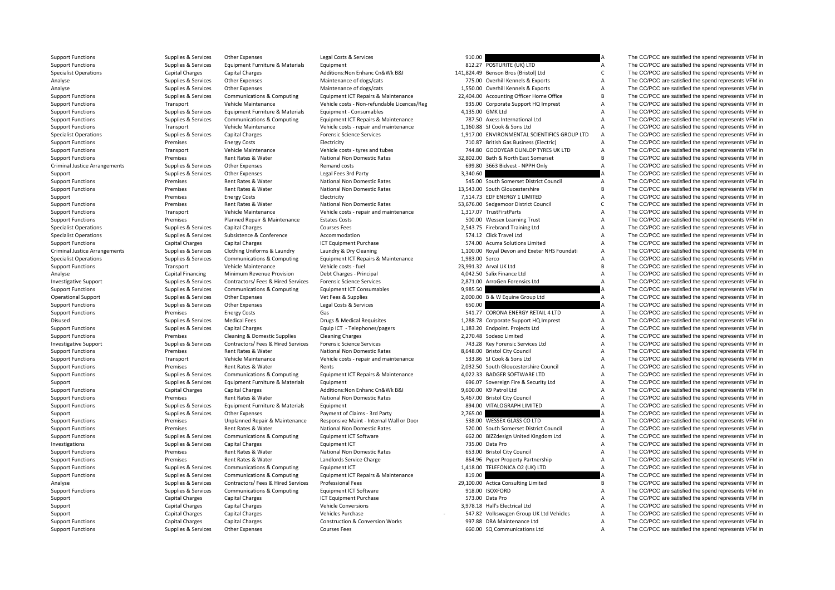Criminal JusticeCriminal Justice

Support Functions Supplies & Services Other Expenses Legal Costs & Services 910.00 910.00 A The CC/PCC are satisfied the spend represents VFM in

|                  | 910.00                                                     |
|------------------|------------------------------------------------------------|
|                  | 812.27 POSTURITE (UK) LTD                                  |
|                  | 11,824.49 Benson Bros (Bristol) Ltd                        |
|                  | 775.00 Overhill Kennels & Exports                          |
|                  | 1,550.00 Overhill Kennels & Exports                        |
|                  | 22,404.00 Accounting Officer Home Office                   |
|                  | 935.00 Corporate Support HQ Imprest                        |
| 4,135.00 GMK Ltd |                                                            |
|                  | 787.50 Axess International Ltd                             |
|                  | 1,160.88 SJ Cook & Sons Ltd                                |
|                  | 1,917.00 ENVIRONMENTAL SCIENTIFICS GROUP LTD               |
|                  | 710.87 British Gas Business (Electric)                     |
|                  | 744.80 GOODYEAR DUNLOP TYRES UK LTD                        |
|                  | 32,802.00 Bath & North East Somerset                       |
|                  | 699.80 3663 Bidvest - NPPH Only                            |
| 3,340.60         |                                                            |
|                  | 545.00 South Somerset District Council                     |
|                  | 13,543.00 South Gloucestershire                            |
|                  | 7,514.73 EDF ENERGY 1 LIMITED                              |
|                  | 53,676.00 Sedgemoor District Council                       |
|                  | 1,317.07 TrustFirstParts                                   |
|                  | 500.00 Wessex Learning Trust                               |
|                  | 2,543.75 Firebrand Training Ltd                            |
|                  | 574.12 Click Travel Ltd                                    |
|                  | 574.00 Acuma Solutions Limited                             |
|                  | 1,100.00 Royal Devon and Exeter NHS Foundati               |
| 1,983.00 Serco   |                                                            |
|                  | !3,991.32 Arval UK Ltd                                     |
|                  | 4,042.50 Salix Finance Ltd                                 |
|                  | 2,871.00 ArroGen Forensics Ltd                             |
| 9,985.50         |                                                            |
|                  | 2,000.00 B & W Equine Group Ltd                            |
|                  |                                                            |
| 650.00           |                                                            |
|                  | 541.77 CORONA ENERGY RETAIL 4 LTD                          |
|                  | 1,288.78 Corporate Support HQ Imprest                      |
|                  | 1,183.20 Endpoint. Projects Ltd                            |
|                  | 2,270.48 Sodexo Limited                                    |
|                  | 743.28 Key Forensic Services Ltd                           |
|                  | 8,648.00 Bristol City Council                              |
|                  | 533.86 SJ Cook & Sons Ltd                                  |
|                  | 2,032.50 South Gloucestershire Council                     |
|                  | 4,022.33 BADGER SOFTWARE LTD                               |
|                  | 696.07 Sovereign Fire & Security Ltd                       |
|                  | 9,600.00 K9 Patrol Ltd                                     |
|                  | 5,467.00 Bristol City Council                              |
| 894.00           | VITALOGRAPH LIMITED                                        |
| 2,765.00         |                                                            |
|                  | 538.00 WESSEX GLASS CO LTD                                 |
|                  | 520.00 South Somerset District Council                     |
|                  | 662.00 BIZZdesign United Kingdom Ltd                       |
|                  | 735.00 Data Pro                                            |
|                  | 653.00 Bristol City Council                                |
|                  | 864.96 Pyper Property Partnership                          |
|                  | 1,418.00 TELEFONICA O2 (UK) LTD                            |
| 819.00           |                                                            |
|                  | 19,100.00 Actica Consulting Limited                        |
|                  | 918.00 ISOXFORD                                            |
|                  | 573.00 Data Pro                                            |
|                  | 3,978.18 Hall's Electrical Ltd                             |
|                  | 547.82 Volkswagen Group UK Ltd Vehicles                    |
|                  | 997.88 DRA Maintenance Ltd<br>660.00 SQ Communications Ltd |

Support Functions Supplies Services Equipment Furniture & Materials Equipment Support Research 2012 POSTURITE (UK) LTD A The CC/PCC are satisfied the spend represents VFM in Specialist Operations Capital Charges Capital Charges Additions:Non Enhanc Cn&Wk B&I 141,824.49 Benson Bros (Bristol) Ltd C The CC/PCC are satisfied the spend represents VFM in Analyse Supplies Services Other Expenses Maintenance of dogs/cats 775.00 Overhill Kennels & Exports A The CC/PCC are satisfied the spend represents VFM in Analyse Supplies & Services Other Expenses Maintenance of dogs/cats 1,550.00 Overhill Kennels & Exports A The CC/PCC are satisfied the spend represents VFM in Support Functions Supplies & Services Communications & Computing Faultoment ICT Repairs & Maintenance 22,404.00 Accounting Officer Home Office B The CC/PCC are satisfied the spend represents VFM in Support Functions Transport Vehicle Maintenance Vehicle costs - Non-refundable Licences/Reg 935.00 Corporate Support HQ Imprest A The CC/PCC are satisfied the spend represents VFM in Support Functions Supplies Services Equipment Furniture & Materials Equipment - Consumables Consumables 4,135.00 GMK Ltd A The CC/PCC are satisfied the spend represents VFM in Support Functions Supplies & Services Communic Supplies & Services Communications & Computing Foundations Functions CT Repairs & Maintenance 787.50 Axess International Ltd A The CC/PCC are satisfied the spend represents VFM in Support Functions Transport Vehicle Maintenance Vehicle costs - repair and maintenance 1,160.88 SJ Cook & Sons Ltd A The CC/PCC are satisfied the spend represents VFM in<br>Support Functions Support Capital Character Capital Specialist Operations Supplies & Services Capital Charges Forensic Science Services 1,917.00 ENVIRONMENTAL SCIENTIFICS GROUP LTD A The CC/PCC are satisfied the spend represents VFM in Support Functions Support Energy Costs Energy Costs Electricity Electricity Functions and the Support Electricity The COVID Costs Electricity and the Spend represents VFM in Support Functions and the Spend represents VFM i Transport Vehicle Maintenance Vehicle costs - tyres and tubes 744.80 GOODYEAR DUNLOP TYRES UK LTD A The CC/PCC are satisfied the spend represents VFM in Support Functions Premises Rent Rates & Water National Non Domestic Rates 32,802.00 Bath & North East Somerset B The CC/PCC are satisfied the spend represents VFM in Arrangements Supplies & Services Other Expenses Chemand costs Remand costs and costs 699.80 3663 Bidvest - NPPH Only A The CC/PCC are satisfied the spend represents VFM in Supplies & Services Other Expend represents VFM in Support Supplies & Services Other Expenses Legal Fees 3rd Party 3,340.60 3,340.60 A The CC/PCC are satisfied the spend represents VFM in Support Functions Support Rent Rates & Water National Non Domestic Rates 545.00 South Somerset District Council A The CC/PCC are satisfied the spend represents VFM in Support Functions Premises Rent Rates & Water National Non Domestic Rates 13,543.00 South Gloucestershire B The CC/PCC are satisfied the spend represents VFM in Support Premises Energy Costs Electricity Electricity 7514.73 EDE ENERGY 1 LIMITED A The CC/PCC are satisfied the spend represents VFM in Support Functions Premises Rent Rates & Water National Non Domestic Rates S3,676.00 Sedgemoor District Council C The CC/PCC are satisfied the spend represents VFM in Support Functions Transport Vehicle Maintenance Vehicle costs - repair and maintenance 1,317.07 TrustFirstParts A The CC/PCC are satisfied the spend represents VFM in Support Functions Support Functions Premises Premises Planned Repair & Maintenance Estates Costs 500.00 Wessex Learning Trust A The CC/PCC are satisfied the spend represents VFM in Support Functions Courses Capital Charges Specialist Operations Supplies & Services Capital Charges Courses Fees Courses Fees 2,543.75 Firebrand Training Ltd A The CC/PCC are satisfied the spend represents VFM in Specialist Operations Supplies Services Subsistence Subsistence Accommodation Steven Supplies Services Subsistence Accommodation 574.12 Click Travel Ltd A The CC/PCC are satisfied the spend represents VFM in Support Functions The CC/PCC are satisfied the spend represents VFM in Capital Charges Capital Charges Capital Charges ICT Equipment Purchase 574.00 Acuma Solutions Limited A The CC/PCC are satisfied the spend represents V Arrangements Supplies & Services Clothing Uniforms & Laundry Laundry & Dry Cleaning 1,100.00 Royal Devon and Exeter NHS Foundati A The CC/PCC are satisfied the spend represents VFM in Specialist Operations Supplies & Services Communications & Computing Equipment ICT Repairs & Maintenance 1,983.00 Serco 1,983.00 Serco A The CC/PCC are satisfied the spend represents VFM in Supplies & Services VFM in Suppl Support Functions Transport Functions Transport Transport Maintenance Vehicle Maintenance Vehicle Maintenance Vehicle Maintenance Vehicle Maintenance Vehicle Maintenance Vehicle Maintenance Vehicle Maintenance Vehicle Main Analyse Capital Financing Minimum Revenue Provision Debt Charges - Principal 4,042.50 Salix Finance Ltd A The CC/PCC are satisfied the spend represents VFM in Investigative Support Supplies & Services Contractors/ Fees & Hired Services Forensic Science Services Contractors/ Fees & Hired Services Forensic Science Services Contractors/ Equipment ICT Consumables and the Services Su Support Functions Supplies & Services Communications & Computing Equipment ICT Consumables 9,985.50 9,985.50 A The CC/PCC are satisfied the spend represents VFM in Operational Support Supplies Supplies Asservices Other Expenses Vet Fees & Supplies Verfees Assupplies 2,000.00 B & W Equine Group Ltd A The CC/PCC are satisfied the spend represents VFM in Support Functions Supplies & Ser Support Functions Supplies & Services Other Expenses Legal Costs & Services 650.00 650.00 A The CC/PCC are satisfied the spend represents VFM in Support Functions energy Costs Energy Costs Gas Gas S41.77 CORONA ENERGY RETAIL 4 LTD A The CC/PCC are satisfied the spend represents VFM in Disused Supplies & Services Medical Fees Drugs & Medical Requisites Drugs & Medical Requisites 1,288.78 Corporate Support HQ Imprest A The CC/PCC are satisfied the spend represents VFM in Support Functions Supplies & Services Capital Charges Found ICT - Telephones/pagers 1,183.20 Endpoint. Projects Ltd A The CC/PCC are satisfied the spend represents VFM in Support Functions Premises Cleaning & Domestic Supplies Cleaning Charges Cleaning Charges 2,270.48 Sodexo Limited A The CC/PCC are satisfied the spend represents VFM in Investigative Support Supplies & Services Contractors/ Fees & Hired Services Forensic Science Services Support Services The CC/PCC are satisfied the spend represents VFM in Support Functions Support Functions Premises Rent Rates & Water National Non Domestic Rates 8,648.00 Bristol City Council A The CC/PCC are satisfied the spend represents VFM in Support Functions Transport Vehicle Maintenance Vehicle costs - repair and maintenance 533.86 SJ Cook & Sons Ltd A The CC/PCC are satisfied the spend represents VFM in<br>Support Functions Strange of the spend represents VFM Rent Rates & Water Support Functions Rents Rents Rents Rents Rents Rents Rents Rents Rents Rents Rents Rents Re<br>Communications A Computing Fould Functions Functions Rents A The CC/PCC are satisfied the spend represents VFM Support Functions Supplies & Services Communications & Computing Equipment ICT Repairs & Maintenance 4,022.33 BADGER SOFTWARE LTD A The CC/PCC are satisfied the spend represents VFM in Support Supplies & Services Equipment Furniture & Materials Equipment Company Format COMPOC Support of the Security Ltd A The CC/PCC are satisfied the spend represents VFM in Support Functions Capital Charges Capital Charges Capital Charges Additions:Non Enhanc Cn&Wk B&I 9,600.00 K9 Patrol Ltd A The CC/PCC are satisfied the spend represents VFM in Support Functions The CC/PCC are satisfied the spend represents VFM in Premises Rent Rates Rent Rates Rent Rates A National Non Domestic Rates 5,467.00 Bristol City Council A The CC/PCC are satisfied the spend represents V Support Functions Supplies & Services Equipment Furniture & Materials Equipment Support Equipment Services A The CC/PCC are satisfied the spend represents VFM in Supplies & Services Other Expenses Payment of Claims - 3rd Party 2,765.00 2,765.00 A The CC/PCC are satisfied the spend represents VFM in Support Functions Premises Unplanned Repair & Maintenance Responsive Maint ‐ Internal Wall or Door 538.00 WESSEX GLASS CO LTD A The CC/PCC are satisfied the spend represents VFM in Support Functions Premises Rent Rates & Water National Non Domestic Rates 520.00 South Somerset District Council A The CC/PCC are satisfied the spend represents VFM in Support Functions Supplies & Services Communications & Computing Equipment ICT Software 662.00 BIZZdesign United Kingdom Ltd A The CC/PCC are satisfied the spend represents VFM in Investigations Supplies & Services Capital Charges Supplies Capital Charges Equipment ICT Provident CT 735.00 Data Pro A The CC/PCC are satisfied the spend represents VFM in Support Functions Supplies & Premises Rent Rates Support Functions Support Functions Premises Rent Rates & Water National Non Domestic Rates 653.00 Bristol City Council A The CC/PCC are satisfied the spend represents VFM in Support Functions **Premises** Premises Rent Rates & Water Landlords Service Charge 864.96 Pyper Property Partnership A The CC/PCC are satisfied the spend represents VFM in Support Functions Supplies A Services Communications & Computing Equipment ICT Repairs & Maintenance 1,418.00 TELEFONICA O2 (UK) LTD A The CC/PCC are satisfied the spend represents VFM in Supplies & Services Communications Support Functions Supplies & Services Communications & Computing Equipment ICT Repairs & Maintenance 819.00 A The CC/PCC are satisfied the spend represents VFM in Analyse Supplies & Services Contractors/ Fees & Hired Services Professional Fees 29,100.00 Actica Consulting Limited B The CC/PCC are satisfied the spend represents VFM in Supplies & Services Communications & Compunication Support Functions Supplies & Services Communications & Computing Equipment ICT Software 918.00 ISOXFORD A The CC/PCC are satisfied the spend represents VFM in Support Capital Charges Capital Charges Capital Charges ICT Equipment Purchase 573.00 Data Pro A The CC/PCC are satisfied the spend represents VFM in Support Capital Charges Capital Charges Capital Charges Vehicle Conversions Vehicle Conversions 3,978.18 Hall's Electrical Ltd A The CC/PCC are satisfied the spend represents VFM in Support Capital Charges Capital Charges Support Capital Charges Capital Charges Vehicles Purchase Vehicles Purchase 547.82 Volkswagen Group UK Ltd Vehicles A The CC/PCC are satisfied the spend represents VFM in Support Functions Capital Charges Capital Charges Construction & Conversion Works 997.88 DRA Maintenance Ltd A The CC/PCC are satisfied the spend represents VFM in Support Functions Supplies & Services Other Expenses Courses Fees Courses Fees 660.00 SQ Communications Ltd A The CC/PCC are satisfied the spend represents VFM in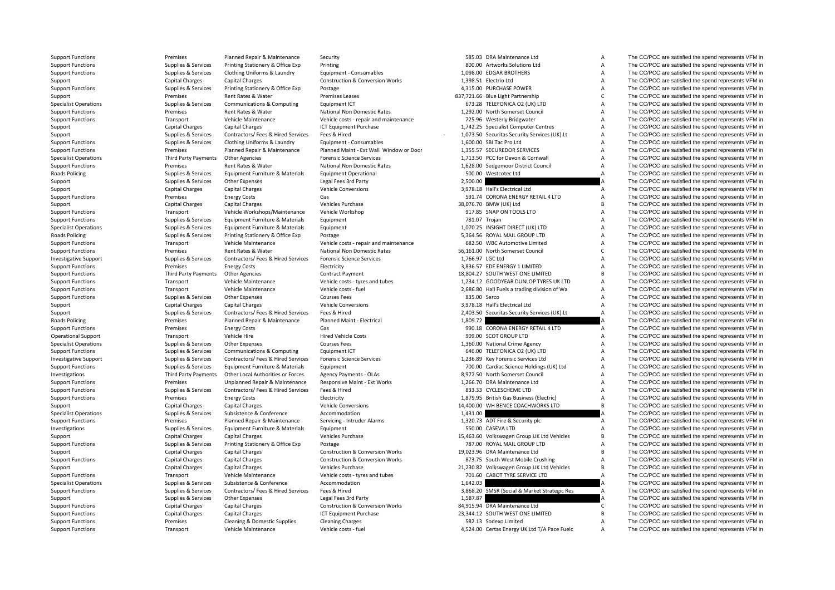**Roads Policing** Roads Policing **Roads Policing** 

Support Functions **Premises** Planned Repair & Maintenance Security 585.03 DRA Maintenance Ltd A The CC/PCC are satisfied the spend represents VFM in

Support Functions Supplies & Services Contractors/ Fees & Hired Services Fees & Hired 3,868.20 SMSR (Social & Market Strategic Res A The Services A

Support Functions Supplies & Services Printing Stationery & Office Exp Printing Printing 800.00 Artworks Solutions Ltd A The CC/PCC are satisfied the spend represents VFM in Support Functions Supplies & Services Clothing Uniforms & Laundry Equipment - Consumables 1,098.00 EDGAR BROTHERS A The CC/PCC are satisfied the spend represents VFM in Support Capital Charges Capital Charges Construction & Conversion Works 1,398.51 Electrio Ltd A The CC/PCC are satisfied the spend represents VFM in Support Functions Supplies & Services Printing Stationery & Office Exp Postage Postage 4,315.00 PURCHASE POWER A The CC/PCC are satisfied the spend represents VFM in Support Premises Rent Rates & Water Premises Leases 837.721.66 Blue Light Partnership C The CC/PCC are satisfied the spend represents VFM in Specialist Operations Supplies & Services Communications & Computing Equipment ICT 673.28 TELEFONICA O2 (UK) LTD A The CC/PCC are satisfied the spend represents VFM in Supplies & Services Rent Rates & Water National Non Do Support Functions The CC/PCC are satisfied the spend represents VFM in Premises Rent Rates & Water National Non Domestic Rates 1,292.00 North Somerset Council A The CC/PCC are satisfied the spend represents VFM in Support Functions Transport Vehicle Maintenance Vehicle costs - repair and maintenance 725.96 Westerly Bridgwater A The CC/PCC are satisfied the spend represents VFM in Support Capital Charges Capital Charges Capital Charges ICT Equipment Purchase 1,742.25 Specialist Computer Centres A The CC/PCC are satisfied the spend represents VFM in Support Supplies & Services Contractors/ Fees & Hired Services Fees & Hired 1,073.50 Securitas Security Services (UK) Lt A The CC/PCC are satisfied the spend represents VFM in Support Functions Supplies Services Clothing Uniforms & Laundry Equipment - Consumables 1,600.00 SBI Tac Pro Ltd A The CC/PCC are satisfied the spend represents VFM in Support Functions Planned Maint Party of Danned Maint Support Functions Premises Planned Repair & Maintenance Planned Maint ‐ Ext Wall Window or Door 1,355.57 SECUREDOR SERVICES A The CC/PCC are satisfied the spend represents VFM in Specialist Operations Third Party Payments Other Agencies Forensic Science Services 1,713.50 PCC for Devon & Cornwall A The CC/PCC are satisfied the spend represents VFM in Support Functions Support Functions Premises Rent Rates Rent Rates Rent Rates National Non Domestic Rates 1,628.00 Sedgemoor District Council A The CC/PCC are satisfied the spend represents VFM in<br>Roads Policing Support of Policing Supplies & Services Equipment Furniture & Materials Equipment Operational 500.00 Westcotec Ltd A The CC/PCC are satisfied the spend represents VFM in Support Supplies & Services Other Expenses Legal Fees 3rd Party 2,500.00 2,500.00 A The CC/PCC are satisfied the spend represents VFM in Support Capital Charges Capital Charges Vehicle Conversions Vehicle Conversions 3,978.18 Hall's Electrical Ltd A The CC/PCC are satisfied the spend represents VFM in Support Functions Support Functions Premises Functions Energy Costs Gas Sas Sas Sas San De Senator Corona ENERGY RETAIL 4 LTD A The CC/PCC are satisfied the spend represents VFM in Support Capital Charges Capital Charges Vehicles Purchase Vehicles Purchase 38,076.70 BMW (UK) Ltd B The CC/PCC are satisfied the spend represents VFM in Support Functions Transport Vehicle Workshops/Maintenance Vehicle Workshop 917.85 SNAP ON TOOLS LTD A The CC/PCC are satisfied the spend represents VFM in Support Functions Supplies & Services Equipment Furniture & Materials Equipment 781.07 Troian 781.07 Troian A The CC/PCC are satisfied the spend represents VFM in Specialist Operations Supplies & Services Equipment Furniture & Materials Equipment Furniture & Materials Equipment Furniture & Materials Equipment Furniture and Equipment 1,070.25 INSIGHT DIRECT (UK) LTD A The CC/PCC are Policing Supplies & Services Printing Stationery & Office Exp Postage 5,364.56 ROYAL MAIL GROUP LTD A The CC/PCC are satisfied the spend represents VFM in Support Functions Transport Vehicle Maintenance Vehicle costs - repair and maintenance 682.50 WBC Automotive Limited A The CC/PCC are satisfied the spend represents VFM in Support Transport Vehicle Costs - repair and maint Support Functions Premises Rent Rates & Water National Non Domestic Rates 56,161.00 North Somerset Council C The CC/PCC are satisfied the spend represents VFM in Investigative Support Supplies & Services Contractors/ Fees & Hired Services Forensic Science Services Contractors/ Fees & Hired Services Forensic Science Services 1,766.97 LGC Ltd A The CC/PCC are satisfied the spend repr Support Functions Premises Energy Costs Electricity 3,836.57 EDF ENERGY 1 LIMITED A The CC/PCC are satisfied the spend represents VFM in Support Functions Third Party Payments Other Agencies Contract Payment Contract Payment 18,804.27 SOUTH WEST ONE LIMITED B The CC/PCC are satisfied the spend represents VFM in Support Functions Transport Vehicle Maintenance Vehicle costs - tyres and tubes 1,234.12 GOODYEAR DUNLOP TYRES UK LTD A The CC/PCC are satisfied the spend represents VFM in Support Functions Transport Vehicle Maintenance Vehicle costs ‐ fuel 2,686.80 Hall Fuels a trading division of Wa A The CC/PCC are satisfied the spend represents VFM in Support Functions Supplies Supplies & Services Other Expenses Courses Fees Courses Fees Courses Fees 835.00 Serco A The CC/PCC are satisfied the spend represents VFM in Support Functions Capital Charges Capital Charges Cap Support Capital Charges Capital Charges Vehicle Conversions Vehicle Conversions 3,978.18 Hall's Electrical Ltd A The CC/PCC are satisfied the spend represents VFM in Support Supplies & Services Contractors/ Fees & Hired Services Fees & Hired 2,403.50 Securitas Securitas Security Services (UK) Lt A The CC/PCC are satisfied the spend represents VFM in Premises Planned Repair & Maintenance Planned Maint - Electrical 1,809.72 1,809.72 A The CC/PCC are satisfied the spend represents VFM in Support Functions energy Costs Energy Costs Gas Gas Service Content Content Content Content Content Content Content Content Content Content Content Content of the COMM ENERGY RETAIL 4 LTD A The CC/PCC are satisfied the spe Operational Support Transport Vehicle Hire Hired Vehicle Costs 909.00 SCOT GROUP LTD A The CC/PCC are satisfied the spend represents VFM in Specialist Operations Supplies & Services Other Expenses Courses Fees Courses Fees 1,360.00 National Crime Agency A The CC/PCC are satisfied the spend represents VFM in Support Functions Supplies Supplies & Services Communications & Computing Equipment ICT 646.00 TELEFONICA O2 (UK) LTD A The CC/PCC are satisfied the spend represents VFM in Investigative Support Supplies & Supplies & Servi Investigative Support Supplies & Services Contractors/ Fees & Hired Services Forensic Science Services Services Contractors/ Fees & Hired Services Forensic Science Services 1,236.89 Key Forensic Services Ltd A The CC/PCC a Support Functions Supplies & Services Equipment Furniture & Materials Equipment 700.00 Cardiac Science Holdings (UK) Ltd A The CC/PCC are satisfied the spend represents VFM in Investigations Third Party Payments Other Local Authorities or Forces Agency Payments - OLAs 8,972.50 North Somerset Council A The CC/PCC are satisfied the spend represents VFM in Support Functions Premises Unplanned Repair & Maintenance Responsive Maint ‐ Ext Works 1,266.70 DRA Maintenance Ltd A The CC/PCC are satisfied the spend represents VFM in Support Functions Supplies & Services Contractors/ Fees & Hired Services Fees & Hired Services Fees & Hired Services Fees & Hired Services Fees & Hired 833.33 CYCLESCHEME LTD A The CC/PCC are satisfied the spend represents Support Functions Premises Energy Costs Energy Costs Electricity Electricity 1,879.95 British Gas Business (Electricity A The CC/PCC are satisfied the spend represents VFM in Support Capital Charges Capital Charges Vehicle Conversions Vehicle Conversions 14,400.00 WH BENCE COACHWORKS LTD B The CC/PCC are satisfied the spend represents VFM in Specialist Operations Subsistence Subsistence Accommodation Accommodation 1,431.00 A The CC/PCC are satisfied the spend represents VFM in Support Functions Premises Premises Planned Repair & Maintenance Servicing - Intruder Alarms 1,320.73 ADT Fire & Security plc A The CC/PCC are satisfied the spend represents VFM in Investigations Supplies & Services Equipment Furniture & Materials Equipment Supplies Equipment Supplies & Services Equipment Furniture & Materials Equipment Supplies and The CC/PCC are satisfied the spend represents VFM i Support Capital Charges Capital Charges Vehicles Purchase Vehicles Purchase 15,463.60 Volkswagen Group UK Ltd Vehicles B The CC/PCC are satisfied the spend represents VFM in Support Functions Supplies & Services Printing Stationery & Office Exp Postage Postage 787.00 ROYAL MAIL GROUP LTD A The CC/PCC are satisfied the spend represents VFM in Support and the spend represents VFM in Support of t Support Capital Charges Capital Charges Construction & Conversion Works 19,023.96 DRA Maintenance Ltd B The CC/PCC are satisfied the spend represents VFM in Support Functions Capital Charges Capital Charges Construction & Conversion Works 873.75 South West Mobile Crushing A The CC/PCC are satisfied the spend represents VFM in Support Capital Charges Capital Charges Capital Charges Vehicles Purchase Vehicles Purchase 21,230.82 Volkswagen Group UK Ltd Vehicles B The CC/PCC are satisfied the spend represents VFM in Support Functions Transport Vehi Support Functions Transport Vehicle Maintenance Vehicle costs - tyres and tubes 701.60 CABOT TYRE SERVICE LTD A The CC/PCC are satisfied the spend represents VFM in Specialist Operations Subsiles Services Subsistence Subsistence Accommodation and the spend represents Subsistence Accommodation and the COLOGE are satisfied the spend represents VFM in Supplies & Services Conference Accom Support Supplies & Services Other Expenses Legal Fees 3rd Party 1,587.87 1,587.87 A The CC/PCC are satisfied the spend represents VFM in Support Functions Capital Charges Capital Charges Construction & Conversion Works B4,915.94 DRA Maintenance Ltd C The CC/PCC are satisfied the spend represents VFM in Support Function & Capital Charges Capital Charges Capi Support Functions Capital Charges Capital Charges Capital Charges ICT Equipment Purchase 23,344.12 SOUTH WEST ONE LIMITED B The CC/PCC are satisfied the spend represents VFM in Support Functions Support Functions Premises Cleaning & Domestic Supplies Cleaning Charges Cleaning Charges Cleaning Charges S82.13 Sodexo Limited Search A The CC/PCC are satisfied the spend represents VFM in Support Funct Support Functions Transport Vehicle Maintenance Vehicle costs ‐ fuel 4,524.00 Certas Energy UK Ltd T/A Pace Fuelc A The CC/PCC are satisfied the spend represents VFM in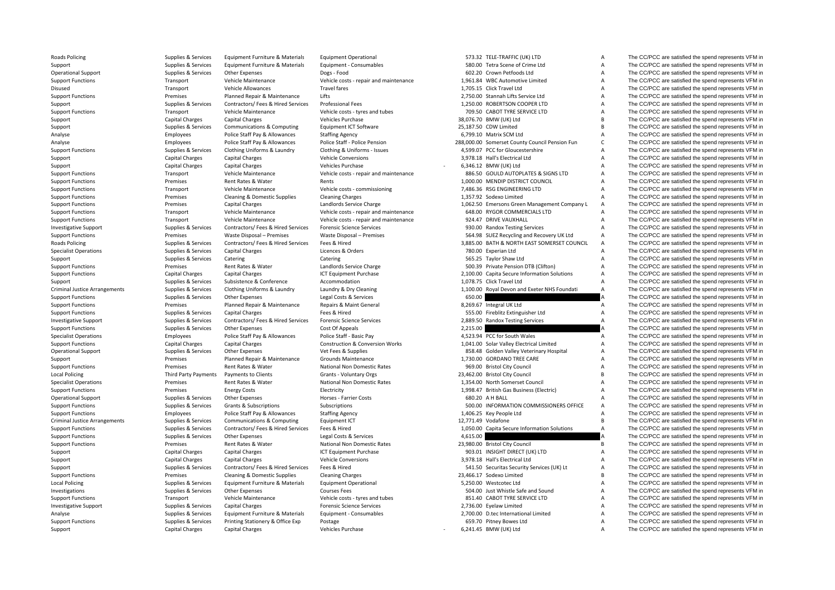| Roads Policing                       | Supplies & Services                    | Equipment Furniture & Materials                     | Equipment Operational                  |          | 573.32 TELE-TRAFFIC (UK) LTD                      | A              | The CC/PCC are satisfied the spend represents VFM in                                                         |
|--------------------------------------|----------------------------------------|-----------------------------------------------------|----------------------------------------|----------|---------------------------------------------------|----------------|--------------------------------------------------------------------------------------------------------------|
| Support                              | Supplies & Services                    | Equipment Furniture & Materials                     | Equipment - Consumables                |          | 580.00 Tetra Scene of Crime Ltd                   | $\overline{A}$ | The CC/PCC are satisfied the spend represents VFM in                                                         |
| <b>Operational Support</b>           | Supplies & Services                    | Other Expenses                                      | Dogs - Food                            |          | 602.20 Crown Petfoods Ltd                         | $\overline{A}$ | The CC/PCC are satisfied the spend represents VFM in                                                         |
| <b>Support Functions</b>             | Transport                              | Vehicle Maintenance                                 | Vehicle costs - repair and maintenance |          | 1,961.84 WBC Automotive Limited                   | A              | The CC/PCC are satisfied the spend represents VFM in                                                         |
| Disused                              | Transport                              | Vehicle Allowances                                  | Travel fares                           |          | 1,705.15 Click Travel Ltd                         | A              | The CC/PCC are satisfied the spend represents VFM in                                                         |
| <b>Support Functions</b>             | Premises                               | Planned Repair & Maintenance                        | Lifts                                  |          | 2,750.00 Stannah Lifts Service Ltd                | A              | The CC/PCC are satisfied the spend represents VFM in                                                         |
| Support                              | Supplies & Services                    | Contractors/ Fees & Hired Services                  | Professional Fees                      |          | 1,250.00 ROBERTSON COOPER LTD                     | A              | The CC/PCC are satisfied the spend represents VFM in                                                         |
| <b>Support Functions</b>             | Transport                              | Vehicle Maintenance                                 | Vehicle costs - tyres and tubes        |          | 709.50 CABOT TYRE SERVICE LTD                     | A              | The CC/PCC are satisfied the spend represents VFM in                                                         |
| Support                              | <b>Capital Charges</b>                 | <b>Capital Charges</b>                              | Vehicles Purchase                      |          | 38,076.70 BMW (UK) Ltd                            | B              | The CC/PCC are satisfied the spend represents VFM in                                                         |
|                                      |                                        |                                                     |                                        |          |                                                   | B              |                                                                                                              |
| Support                              | Supplies & Services                    | Communications & Computing                          | Equipment ICT Software                 |          | 25,187.50 CDW Limited                             |                | The CC/PCC are satisfied the spend represents VFM in                                                         |
| Analyse                              | Employees                              | Police Staff Pay & Allowances                       | <b>Staffing Agency</b>                 |          | 6,799.10 Matrix SCM Ltd                           | A              | The CC/PCC are satisfied the spend represents VFM in                                                         |
| Analyse                              | Employees                              | Police Staff Pay & Allowances                       | Police Staff - Police Pension          |          | 288,000.00 Somerset County Council Pension Fun    | $\mathsf{C}$   | The CC/PCC are satisfied the spend represents VFM in                                                         |
| <b>Support Functions</b>             | Supplies & Services                    | Clothing Uniforms & Laundry                         | Clothing & Uniforms - Issues           |          | 4,599.07 PCC for Gloucestershire                  | A              | The CC/PCC are satisfied the spend represents VFM in                                                         |
| Support                              | <b>Capital Charges</b>                 | Capital Charges                                     | <b>Vehicle Conversions</b>             |          | 3,978.18 Hall's Electrical Ltd                    | A              | The CC/PCC are satisfied the spend represents VFM in                                                         |
| Support                              | <b>Capital Charges</b>                 | Capital Charges                                     | Vehicles Purchase                      |          | 6,346.12 BMW (UK) Ltd                             | A              | The CC/PCC are satisfied the spend represents VFM in                                                         |
| <b>Support Functions</b>             | Transport                              | Vehicle Maintenance                                 | Vehicle costs - repair and maintenance |          | 886.50 GOULD AUTOPLATES & SIGNS LTD               | A              | The CC/PCC are satisfied the spend represents VFM in                                                         |
| <b>Support Functions</b>             | Premises                               | Rent Rates & Water                                  | Rents                                  |          | 1,000.00 MENDIP DISTRICT COUNCIL                  | A              | The CC/PCC are satisfied the spend represents VFM in                                                         |
| <b>Support Functions</b>             | Transport                              | Vehicle Maintenance                                 | Vehicle costs - commissioning          |          | 7,486.36 RSG ENGINEERING LTD                      | A              | The CC/PCC are satisfied the spend represents VFM in                                                         |
| <b>Support Functions</b>             | Premises                               | Cleaning & Domestic Supplies                        | <b>Cleaning Charges</b>                |          | 1,357.92 Sodexo Limited                           | A              | The CC/PCC are satisfied the spend represents VFM in                                                         |
| <b>Support Functions</b>             | Premises                               | <b>Capital Charges</b>                              | Landlords Service Charge               |          | 1,062.50 Emersons Green Management Company L      | A              | The CC/PCC are satisfied the spend represents VFM in                                                         |
| <b>Support Functions</b>             | Transport                              | Vehicle Maintenance                                 | Vehicle costs - repair and maintenance |          | 648.00 RYGOR COMMERCIALS LTD                      | A              | The CC/PCC are satisfied the spend represents VFM in                                                         |
| <b>Support Functions</b>             | Transport                              | Vehicle Maintenance                                 | Vehicle costs - repair and maintenance |          | 924.47 DRIVE VAUXHALL                             | A              | The CC/PCC are satisfied the spend represents VFM in                                                         |
| <b>Investigative Support</b>         | Supplies & Services                    | Contractors/ Fees & Hired Services                  | <b>Forensic Science Services</b>       |          | 930.00 Randox Testing Services                    | Α              | The CC/PCC are satisfied the spend represents VFM in                                                         |
| <b>Support Functions</b>             | Premises                               | Waste Disposal - Premises                           | Waste Disposal - Premises              |          | 564.98 SUEZ Recycling and Recovery UK Ltd         | A              | The CC/PCC are satisfied the spend represents VFM in                                                         |
| Roads Policing                       | Supplies & Services                    | Contractors/ Fees & Hired Services                  | Fees & Hired                           |          | 3,885.00 BATH & NORTH EAST SOMERSET COUNCIL       | $\overline{A}$ | The CC/PCC are satisfied the spend represents VFM in                                                         |
|                                      |                                        |                                                     |                                        |          |                                                   |                |                                                                                                              |
| <b>Specialist Operations</b>         | Supplies & Services                    | Capital Charges                                     | Licences & Orders                      |          | 780.00 Experian Ltd                               | $\overline{A}$ | The CC/PCC are satisfied the spend represents VFM in                                                         |
| Support                              | Supplies & Services                    | Catering                                            | Catering                               |          | 565.25 Taylor Shaw Ltd                            | A              | The CC/PCC are satisfied the spend represents VFM in                                                         |
| <b>Support Functions</b>             | Premises                               | Rent Rates & Water                                  | Landlords Service Charge               |          | 500.39 Private Pension DTB (Clifton)              | A              | The CC/PCC are satisfied the spend represents VFM in                                                         |
| <b>Support Functions</b>             | Capital Charges                        | Capital Charges                                     | ICT Equipment Purchase                 |          | 2,100.00 Capita Secure Information Solutions      | A              | The CC/PCC are satisfied the spend represents VFM in                                                         |
| Support                              | Supplies & Services                    | Subsistence & Conference                            | Accommodation                          |          | 1,078.75 Click Travel Ltd                         | A              | The CC/PCC are satisfied the spend represents VFM in                                                         |
| <b>Criminal Justice Arrangements</b> | Supplies & Services                    | Clothing Uniforms & Laundry                         | Laundry & Dry Cleaning                 |          | 1,100.00 Royal Devon and Exeter NHS Foundati      | A              | The CC/PCC are satisfied the spend represents VFM in                                                         |
| <b>Support Functions</b>             | Supplies & Services                    | Other Expenses                                      | Legal Costs & Services                 | 650.00   |                                                   |                | The CC/PCC are satisfied the spend represents VFM in                                                         |
| <b>Support Functions</b>             | Premises                               | Planned Repair & Maintenance                        | Repairs & Maint General                |          | 8,269.67 Integral UK Ltd                          | Α              | The CC/PCC are satisfied the spend represents VFM in                                                         |
| <b>Support Functions</b>             | Supplies & Services                    | Capital Charges                                     | Fees & Hired                           |          | 555.00 Fireblitz Extinguisher Ltd                 | A              | The CC/PCC are satisfied the spend represents VFM in                                                         |
| <b>Investigative Support</b>         | Supplies & Services                    | Contractors/ Fees & Hired Services                  | <b>Forensic Science Services</b>       |          | 2,889.50 Randox Testing Services                  | A              | The CC/PCC are satisfied the spend represents VFM in                                                         |
| <b>Support Functions</b>             | Supplies & Services                    | Other Expenses                                      | Cost Of Appeals                        | 2,215.00 |                                                   |                | The CC/PCC are satisfied the spend represents VFM in                                                         |
| <b>Specialist Operations</b>         | Employees                              | Police Staff Pay & Allowances                       | Police Staff - Basic Pay               |          | 4,523.94 PCC for South Wales                      | A              | The CC/PCC are satisfied the spend represents VFM in                                                         |
| <b>Support Functions</b>             | <b>Capital Charges</b>                 | Capital Charges                                     | Construction & Conversion Works        |          | 1,041.00 Solar Valley Electrical Limited          | A              | The CC/PCC are satisfied the spend represents VFM in                                                         |
| <b>Operational Support</b>           | Supplies & Services                    | Other Expenses                                      | Vet Fees & Supplies                    |          | 858.48 Golden Valley Veterinary Hospital          | A              | The CC/PCC are satisfied the spend represents VFM in                                                         |
| Support                              | Premises                               | Planned Repair & Maintenance                        | Grounds Maintenance                    |          | 1,730.00 GORDANO TREE CARE                        | A              | The CC/PCC are satisfied the spend represents VFM in                                                         |
| <b>Support Functions</b>             | Premises                               | Rent Rates & Water                                  | National Non Domestic Rates            |          | 969.00 Bristol City Council                       | $\overline{A}$ | The CC/PCC are satisfied the spend represents VFM in                                                         |
| Local Policing                       | Third Party Payments                   | Payments to Clients                                 | Grants - Voluntary Orgs                |          | 23,462.00 Bristol City Council                    | B              | The CC/PCC are satisfied the spend represents VFM in                                                         |
|                                      | Premises                               |                                                     |                                        |          |                                                   | A              | The CC/PCC are satisfied the spend represents VFM in                                                         |
| <b>Specialist Operations</b>         |                                        | Rent Rates & Water                                  | National Non Domestic Rates            |          | 1,354.00 North Somerset Council                   |                |                                                                                                              |
| <b>Support Functions</b>             | Premises                               | <b>Energy Costs</b>                                 | Electricity                            |          | 1,998.47 British Gas Business (Electric)          | A              | The CC/PCC are satisfied the spend represents VFM in                                                         |
| <b>Operational Support</b>           | Supplies & Services                    | Other Expenses                                      | Horses - Farrier Costs                 |          | 680.20 A H BALL                                   | A              | The CC/PCC are satisfied the spend represents VFM in                                                         |
| <b>Support Functions</b>             | Supplies & Services                    | Grants & Subscriptions                              | Subscriptions                          |          | 500.00 INFORMATION COMMISSIONERS OFFICE           | A              | The CC/PCC are satisfied the spend represents VFM in                                                         |
| <b>Support Functions</b>             | Employees                              | Police Staff Pay & Allowances                       | <b>Staffing Agency</b>                 |          | 1,406.25 Key People Ltd                           | A              | The CC/PCC are satisfied the spend represents VFM in                                                         |
| <b>Criminal Justice Arrangements</b> | Supplies & Services                    | Communications & Computing                          | Equipment ICT                          |          | 12,771.49 Vodafone                                | B              | The CC/PCC are satisfied the spend represents VFM in                                                         |
| <b>Support Functions</b>             | Supplies & Services                    | Contractors/ Fees & Hired Services                  | Fees & Hired                           |          | 1,050.00 Capita Secure Information Solutions      | A              | The CC/PCC are satisfied the spend represents VFM in                                                         |
| <b>Support Functions</b>             | Supplies & Services                    | Other Expenses                                      | Legal Costs & Services                 | 4,615.00 |                                                   |                | The CC/PCC are satisfied the spend represents VFM in                                                         |
| <b>Support Functions</b>             | Premises                               | Rent Rates & Water                                  | National Non Domestic Rates            |          | 23,980.00 Bristol City Council                    | B              | The CC/PCC are satisfied the spend represents VFM in                                                         |
| Support                              | <b>Capital Charges</b>                 | Capital Charges                                     | <b>ICT Equipment Purchase</b>          |          | 903.01 INSIGHT DIRECT (UK) LTD                    | $\overline{A}$ | The CC/PCC are satisfied the spend represents VFM in                                                         |
| Support                              | <b>Capital Charges</b>                 | Capital Charges                                     | <b>Vehicle Conversions</b>             |          | 3.978.18 Hall's Electrical Ltd                    | A              | The CC/PCC are satisfied the spend represents VFM in                                                         |
| Support                              | Supplies & Services                    | Contractors/ Fees & Hired Services                  | Fees & Hired                           |          | 541.50 Securitas Security Services (UK) Lt        | A              | The CC/PCC are satisfied the spend represents VFM in                                                         |
| <b>Support Functions</b>             | Premises                               | Cleaning & Domestic Supplies                        | <b>Cleaning Charges</b>                |          | 23,466.17 Sodexo Limited                          | B              | The CC/PCC are satisfied the spend represents VFM in                                                         |
| Local Policing                       | Supplies & Services                    | Equipment Furniture & Materials                     | <b>Equipment Operational</b>           |          | 5,250.00 Westcotec Ltd                            | A              | The CC/PCC are satisfied the spend represents VFM in                                                         |
| Investigations                       | Supplies & Services                    | Other Expenses                                      | <b>Courses Fees</b>                    |          | 504.00 Just Whistle Safe and Sound                | A              | The CC/PCC are satisfied the spend represents VFM in                                                         |
| <b>Support Functions</b>             | Transport                              | Vehicle Maintenance                                 | Vehicle costs - tyres and tubes        |          | 851.40 CABOT TYRE SERVICE LTD                     | A              | The CC/PCC are satisfied the spend represents VFM in                                                         |
|                                      | Supplies & Services                    | Capital Charges                                     | <b>Forensic Science Services</b>       |          | 2,736.00 Eyelaw Limited                           | A              | The CC/PCC are satisfied the spend represents VFM in                                                         |
| <b>Investigative Support</b>         | Supplies & Services                    | Equipment Furniture & Materials                     | Equipment - Consumables                |          | 2,700.00 D.tec International Limited              | A              | The CC/PCC are satisfied the spend represents VFM in                                                         |
| Analyse                              |                                        |                                                     |                                        |          |                                                   |                |                                                                                                              |
| <b>Support Functions</b><br>Sunnort  | Supplies & Services<br>Canital Charges | Printing Stationery & Office Exp<br>Canital Charges | Postage<br>Vehicles Purchase           |          | 659.70 Pitney Bowes Ltd<br>6 241 45 BMW (IIK) Itd | A              | The CC/PCC are satisfied the spend represents VFM in<br>The CC/PCC are satisfied the spend represents VEM in |
|                                      |                                        |                                                     |                                        |          |                                                   |                |                                                                                                              |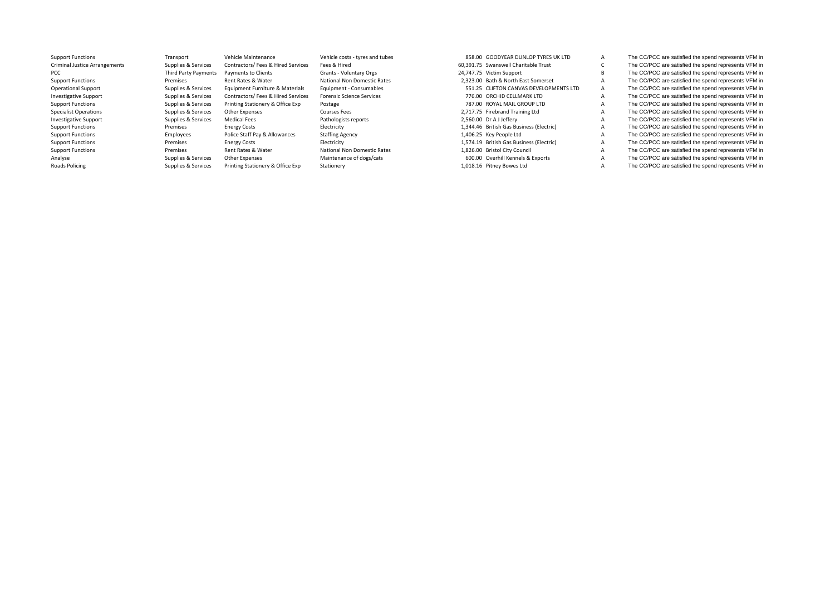| <b>Support Functions</b>             | Transport                   | Vehicle Maintenance                | Vehicle costs - tyres and tubes  | 858.00 GOODYEAR DUNLOP TYRES UK LTD      |   | The CC/PCC are satisfied the spend represents VFM in |
|--------------------------------------|-----------------------------|------------------------------------|----------------------------------|------------------------------------------|---|------------------------------------------------------|
| <b>Criminal Justice Arrangements</b> | Supplies & Services         | Contractors/ Fees & Hired Services | Fees & Hired                     | 60.391.75 Swanswell Charitable Trust     |   | The CC/PCC are satisfied the spend represents VFM in |
| <b>PCC</b>                           | <b>Third Party Payments</b> | Payments to Clients                | Grants - Voluntary Orgs          | 24.747.75 Victim Support                 |   | The CC/PCC are satisfied the spend represents VFM in |
| <b>Support Functions</b>             | Premises                    | Rent Rates & Water                 | National Non Domestic Rates      | 2,323.00 Bath & North East Somerset      |   | The CC/PCC are satisfied the spend represents VFM in |
| <b>Operational Support</b>           | Supplies & Services         | Equipment Furniture & Materials    | Equipment - Consumables          | 551.25 CLIFTON CANVAS DEVELOPMENTS LTD   | A | The CC/PCC are satisfied the spend represents VFM in |
| <b>Investigative Support</b>         | Supplies & Services         | Contractors/ Fees & Hired Services | <b>Forensic Science Services</b> | 776.00 ORCHID CELLMARK LTD               | A | The CC/PCC are satisfied the spend represents VFM in |
| <b>Support Functions</b>             | Supplies & Services         | Printing Stationery & Office Exp   | Postage                          | 787.00 ROYAL MAIL GROUP LTD              |   | The CC/PCC are satisfied the spend represents VFM in |
| <b>Specialist Operations</b>         | Supplies & Services         | Other Expenses                     | <b>Courses Fees</b>              | 2,717.75 Firebrand Training Ltd          |   | The CC/PCC are satisfied the spend represents VFM in |
| <b>Investigative Support</b>         | Supplies & Services         | Medical Fees                       | Pathologists reports             | 2.560.00 Dr A J Jeffery                  | A | The CC/PCC are satisfied the spend represents VFM in |
| <b>Support Functions</b>             | Premises                    | <b>Energy Costs</b>                | Electricity                      | 1,344.46 British Gas Business (Electric) | A | The CC/PCC are satisfied the spend represents VFM in |
| <b>Support Functions</b>             | Employees                   | Police Staff Pay & Allowances      | <b>Staffing Agency</b>           | 1,406.25 Key People Ltd                  | A | The CC/PCC are satisfied the spend represents VFM in |
| <b>Support Functions</b>             | Premises                    | <b>Energy Costs</b>                | Electricity                      | 1,574.19 British Gas Business (Electric) | A | The CC/PCC are satisfied the spend represents VFM in |
| <b>Support Functions</b>             | Premises                    | Rent Rates & Water                 | National Non Domestic Rates      | 1,826.00 Bristol City Council            | A | The CC/PCC are satisfied the spend represents VFM in |
| Analyse                              | Supplies & Services         | Other Expenses                     | Maintenance of dogs/cats         | 600.00 Overhill Kennels & Exports        | A | The CC/PCC are satisfied the spend represents VFM in |
| Roads Policing                       | Supplies & Services         | Printing Stationery & Office Exp   | Stationery                       | 1,018.16 Pitney Bowes Ltd                |   | The CC/PCC are satisfied the spend represents VFM in |
|                                      |                             |                                    |                                  |                                          |   |                                                      |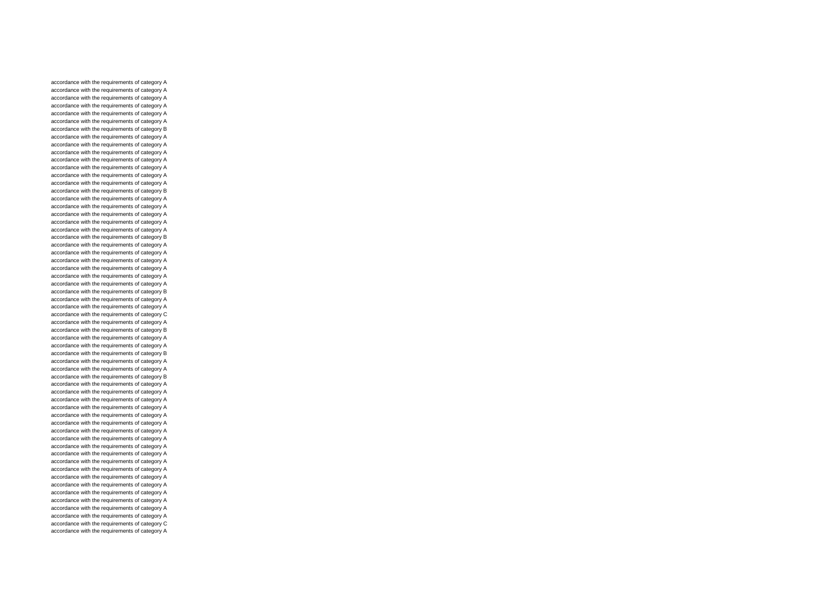accordance with the requirements of category A accordance with the requirements of category A accordance with the requirements of category A accordance with the requirements of category A accordance with the requirements of category A accordance with the requirements of category A accordance with the requirements of category B accordance with the requirements of category A accordance with the requirements of category A accordance with the requirements of category A accordance with the requirements of category A accordance with the requirements of category A accordance with the requirements of category A accordance with the requirements of category A accordance with the requirements of category B accordance with the requirements of category A accordance with the requirements of category A accordance with the requirements of category A accordance with the requirements of category A accordance with the requirements of category A accordance with the requirements of category B accordance with the requirements of category A accordance with the requirements of category A accordance with the requirements of category A accordance with the requirements of category A accordance with the requirements of category A accordance with the requirements of category A accordance with the requirements of category B accordance with the requirements of category A accordance with the requirements of category A accordance with the requirements of category C accordance with the requirements of category A accordance with the requirements of category B accordance with the requirements of category A accordance with the requirements of category A accordance with the requirements of category B accordance with the requirements of category A accordance with the requirements of category A accordance with the requirements of category B accordance with the requirements of category A accordance with the requirements of category A accordance with the requirements of category A accordance with the requirements of category A accordance with the requirements of category A accordance with the requirements of category A accordance with the requirements of category A accordance with the requirements of category A accordance with the requirements of category A accordance with the requirements of category A accordance with the requirements of category A accordance with the requirements of category A accordance with the requirements of category A accordance with the requirements of category A accordance with the requirements of category A accordance with the requirements of category A accordance with the requirements of category A accordance with the requirements of category A accordance with the requirements of category C accordance with the requirements of category A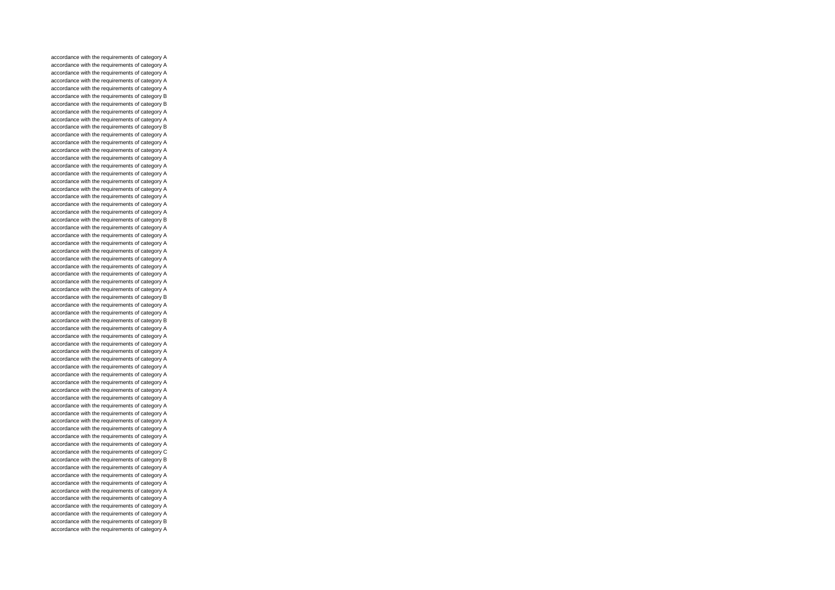accordance with the requirements of category A accordance with the requirements of category A accordance with the requirements of category A accordance with the requirements of category A accordance with the requirements of category A accordance with the requirements of category B accordance with the requirements of category B accordance with the requirements of category A accordance with the requirements of category A accordance with the requirements of category B accordance with the requirements of category A accordance with the requirements of category A accordance with the requirements of category A accordance with the requirements of category A accordance with the requirements of category A accordance with the requirements of category A accordance with the requirements of category A accordance with the requirements of category A accordance with the requirements of category A accordance with the requirements of category A accordance with the requirements of category A accordance with the requirements of category B accordance with the requirements of category A accordance with the requirements of category A accordance with the requirements of category A accordance with the requirements of category A accordance with the requirements of category A accordance with the requirements of category A accordance with the requirements of category A accordance with the requirements of category A accordance with the requirements of category A accordance with the requirements of category B accordance with the requirements of category A accordance with the requirements of category A accordance with the requirements of category B accordance with the requirements of category A accordance with the requirements of category A accordance with the requirements of category A accordance with the requirements of category A accordance with the requirements of category A accordance with the requirements of category A accordance with the requirements of category A accordance with the requirements of category A accordance with the requirements of category A accordance with the requirements of category A accordance with the requirements of category A accordance with the requirements of category A accordance with the requirements of category A accordance with the requirements of category A accordance with the requirements of category A accordance with the requirements of category A accordance with the requirements of category C accordance with the requirements of category B accordance with the requirements of category A accordance with the requirements of category A accordance with the requirements of category A accordance with the requirements of category A accordance with the requirements of category A accordance with the requirements of category A accordance with the requirements of category A accordance with the requirements of category B accordance with the requirements of category A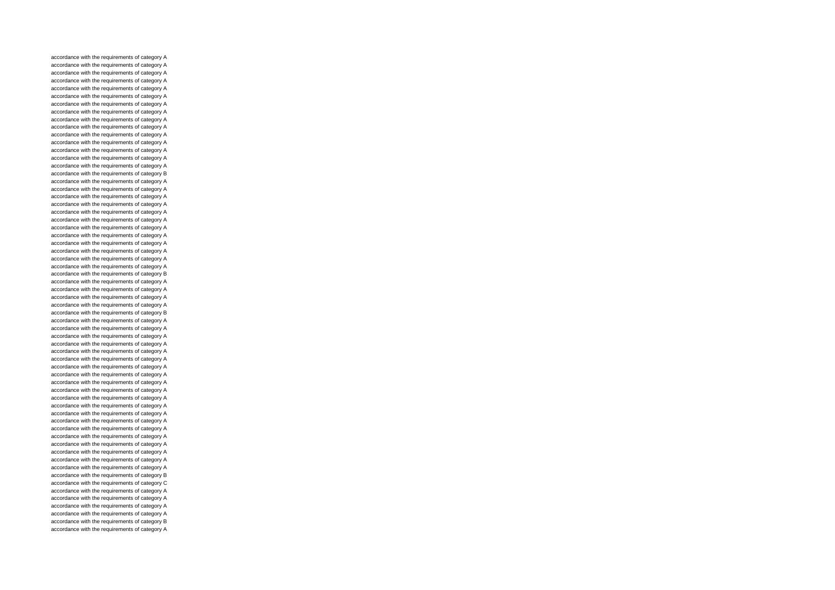accordance with the requirements of category A accordance with the requirements of category A accordance with the requirements of category A accordance with the requirements of category A accordance with the requirements of category A accordance with the requirements of category A accordance with the requirements of category A accordance with the requirements of category A accordance with the requirements of category A accordance with the requirements of category A accordance with the requirements of category A accordance with the requirements of category A accordance with the requirements of category A accordance with the requirements of category A accordance with the requirements of category A accordance with the requirements of category B accordance with the requirements of category A accordance with the requirements of category A accordance with the requirements of category A accordance with the requirements of category A accordance with the requirements of category A accordance with the requirements of category A accordance with the requirements of category A accordance with the requirements of category A accordance with the requirements of category A accordance with the requirements of category A accordance with the requirements of category A accordance with the requirements of category A accordance with the requirements of category B accordance with the requirements of category A accordance with the requirements of category A accordance with the requirements of category A accordance with the requirements of category A accordance with the requirements of category B accordance with the requirements of category A accordance with the requirements of category A accordance with the requirements of category A accordance with the requirements of category A accordance with the requirements of category A accordance with the requirements of category A accordance with the requirements of category A accordance with the requirements of category A accordance with the requirements of category A accordance with the requirements of category A accordance with the requirements of category A accordance with the requirements of category A accordance with the requirements of category A accordance with the requirements of category A accordance with the requirements of category A accordance with the requirements of category A accordance with the requirements of category A accordance with the requirements of category A accordance with the requirements of category A accordance with the requirements of category A accordance with the requirements of category B accordance with the requirements of category C accordance with the requirements of category A accordance with the requirements of category A accordance with the requirements of category A accordance with the requirements of category A accordance with the requirements of category B accordance with the requirements of category A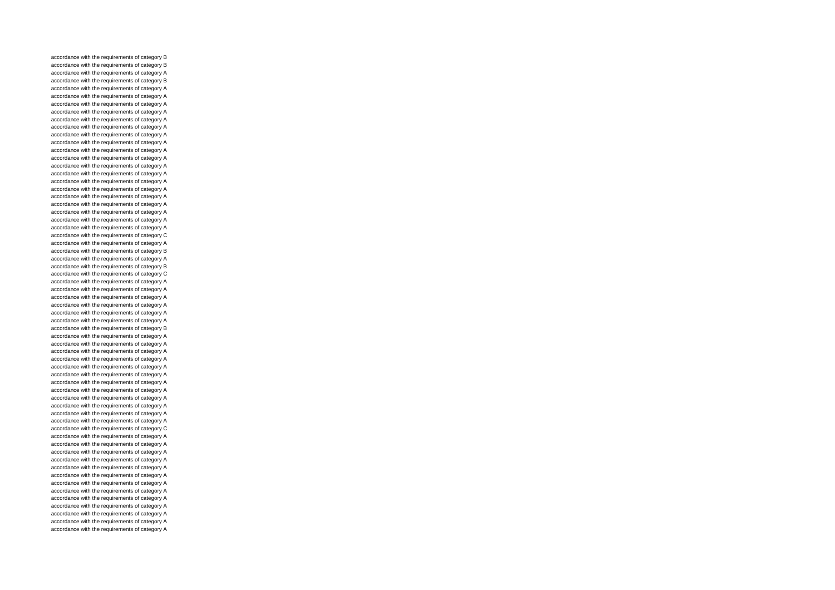accordance with the requirements of category B accordance with the requirements of category B accordance with the requirements of category A accordance with the requirements of category B accordance with the requirements of category A accordance with the requirements of category A accordance with the requirements of category A accordance with the requirements of category A accordance with the requirements of category A accordance with the requirements of category A accordance with the requirements of category A accordance with the requirements of category A accordance with the requirements of category A accordance with the requirements of category A accordance with the requirements of category A accordance with the requirements of category A accordance with the requirements of category A accordance with the requirements of category A accordance with the requirements of category A accordance with the requirements of category A accordance with the requirements of category A accordance with the requirements of category A accordance with the requirements of category A accordance with the requirements of category C accordance with the requirements of category A accordance with the requirements of category B accordance with the requirements of category A accordance with the requirements of category B accordance with the requirements of category C accordance with the requirements of category A accordance with the requirements of category A accordance with the requirements of category A accordance with the requirements of category A accordance with the requirements of category A accordance with the requirements of category A accordance with the requirements of category B accordance with the requirements of category A accordance with the requirements of category A accordance with the requirements of category A accordance with the requirements of category A accordance with the requirements of category A accordance with the requirements of category A accordance with the requirements of category A accordance with the requirements of category A accordance with the requirements of category A accordance with the requirements of category A accordance with the requirements of category A accordance with the requirements of category A accordance with the requirements of category C accordance with the requirements of category A accordance with the requirements of category A accordance with the requirements of category A accordance with the requirements of category A accordance with the requirements of category A accordance with the requirements of category A accordance with the requirements of category A accordance with the requirements of category A accordance with the requirements of category A accordance with the requirements of category A accordance with the requirements of category A accordance with the requirements of category A accordance with the requirements of category A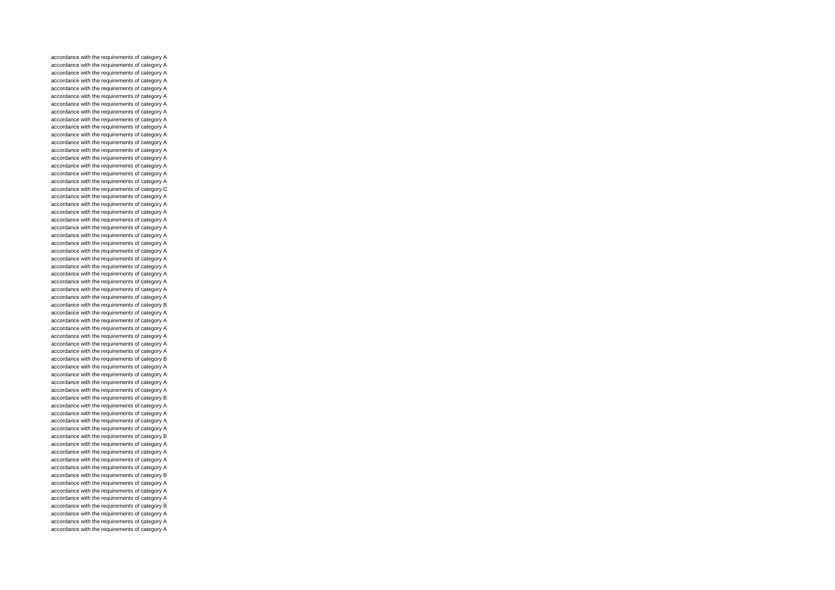accordance with the requirements of category A accordance with the requirements of category A accordance with the requirements of category A accordance with the requirements of category A accordance with the requirements of category A accordance with the requirements of category A accordance with the requirements of category A accordance with the requirements of category A accordance with the requirements of category A accordance with the requirements of category A accordance with the requirements of category A accordance with the requirements of category A accordance with the requirements of category A accordance with the requirements of category A accordance with the requirements of category A accordance with the requirements of category A accordance with the requirements of category A accordance with the requirements of category C accordance with the requirements of category A accordance with the requirements of category A accordance with the requirements of category A accordance with the requirements of category A accordance with the requirements of category A accordance with the requirements of category A accordance with the requirements of category A accordance with the requirements of category A accordance with the requirements of category A accordance with the requirements of category A accordance with the requirements of category A accordance with the requirements of category A accordance with the requirements of category A accordance with the requirements of category A accordance with the requirements of category B accordance with the requirements of category A accordance with the requirements of category A accordance with the requirements of category A accordance with the requirements of category A accordance with the requirements of category A accordance with the requirements of category A accordance with the requirements of category B accordance with the requirements of category A accordance with the requirements of category A accordance with the requirements of category A accordance with the requirements of category A accordance with the requirements of category B accordance with the requirements of category A accordance with the requirements of category A accordance with the requirements of category A accordance with the requirements of category A accordance with the requirements of category B accordance with the requirements of category A accordance with the requirements of category A accordance with the requirements of category A accordance with the requirements of category A accordance with the requirements of category B accordance with the requirements of category A accordance with the requirements of category A accordance with the requirements of category A accordance with the requirements of category B accordance with the requirements of category A accordance with the requirements of category A accordance with the requirements of category A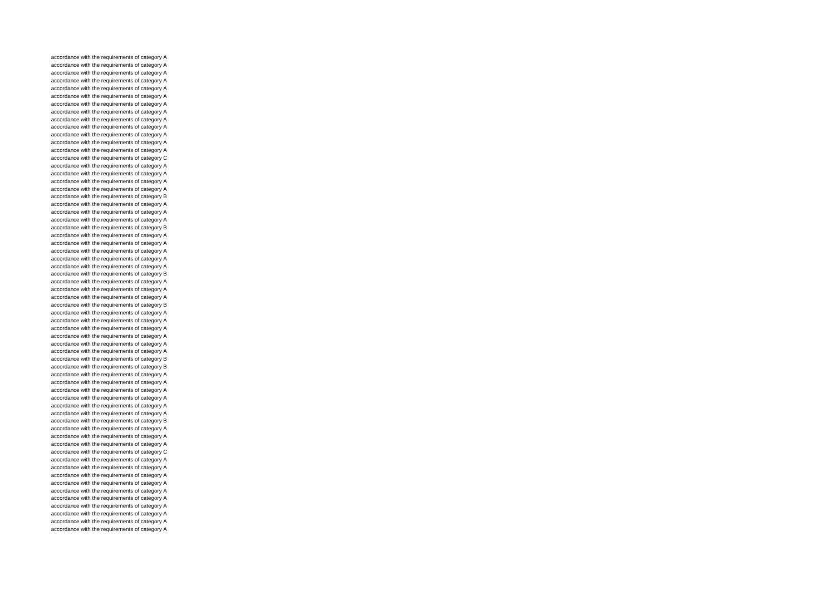accordance with the requirements of category A accordance with the requirements of category A accordance with the requirements of category A accordance with the requirements of category A accordance with the requirements of category A accordance with the requirements of category A accordance with the requirements of category A accordance with the requirements of category A accordance with the requirements of category A accordance with the requirements of category A accordance with the requirements of category A accordance with the requirements of category A accordance with the requirements of category A accordance with the requirements of category C accordance with the requirements of category A accordance with the requirements of category A accordance with the requirements of category A accordance with the requirements of category A accordance with the requirements of category B accordance with the requirements of category A accordance with the requirements of category A accordance with the requirements of category A accordance with the requirements of category B accordance with the requirements of category A accordance with the requirements of category A accordance with the requirements of category A accordance with the requirements of category A accordance with the requirements of category A accordance with the requirements of category B accordance with the requirements of category A accordance with the requirements of category A accordance with the requirements of category A accordance with the requirements of category B accordance with the requirements of category A accordance with the requirements of category A accordance with the requirements of category A accordance with the requirements of category A accordance with the requirements of category A accordance with the requirements of category A accordance with the requirements of category B accordance with the requirements of category B accordance with the requirements of category A accordance with the requirements of category A accordance with the requirements of category A accordance with the requirements of category A accordance with the requirements of category A accordance with the requirements of category A accordance with the requirements of category B accordance with the requirements of category A accordance with the requirements of category A accordance with the requirements of category A accordance with the requirements of category C accordance with the requirements of category A accordance with the requirements of category A accordance with the requirements of category A accordance with the requirements of category A accordance with the requirements of category A accordance with the requirements of category A accordance with the requirements of category A accordance with the requirements of category A accordance with the requirements of category A accordance with the requirements of category A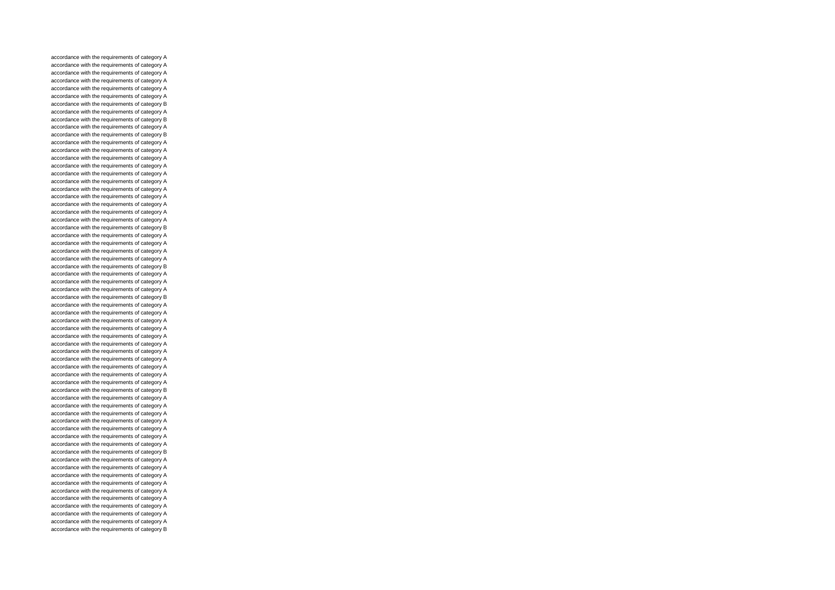accordance with the requirements of category A accordance with the requirements of category A accordance with the requirements of category A accordance with the requirements of category A accordance with the requirements of category A accordance with the requirements of category A accordance with the requirements of category B accordance with the requirements of category A accordance with the requirements of category B accordance with the requirements of category A accordance with the requirements of category B accordance with the requirements of category A accordance with the requirements of category A accordance with the requirements of category A accordance with the requirements of category A accordance with the requirements of category A accordance with the requirements of category A accordance with the requirements of category A accordance with the requirements of category A accordance with the requirements of category A accordance with the requirements of category A accordance with the requirements of category A accordance with the requirements of category B accordance with the requirements of category A accordance with the requirements of category A accordance with the requirements of category A accordance with the requirements of category A accordance with the requirements of category B accordance with the requirements of category A accordance with the requirements of category A accordance with the requirements of category A accordance with the requirements of category B accordance with the requirements of category A accordance with the requirements of category A accordance with the requirements of category A accordance with the requirements of category A accordance with the requirements of category A accordance with the requirements of category A accordance with the requirements of category A accordance with the requirements of category A accordance with the requirements of category A accordance with the requirements of category A accordance with the requirements of category A accordance with the requirements of category B accordance with the requirements of category A accordance with the requirements of category A accordance with the requirements of category A accordance with the requirements of category A accordance with the requirements of category A accordance with the requirements of category A accordance with the requirements of category A accordance with the requirements of category B accordance with the requirements of category A accordance with the requirements of category A accordance with the requirements of category A accordance with the requirements of category A accordance with the requirements of category A accordance with the requirements of category A accordance with the requirements of category A accordance with the requirements of category A accordance with the requirements of category A accordance with the requirements of category B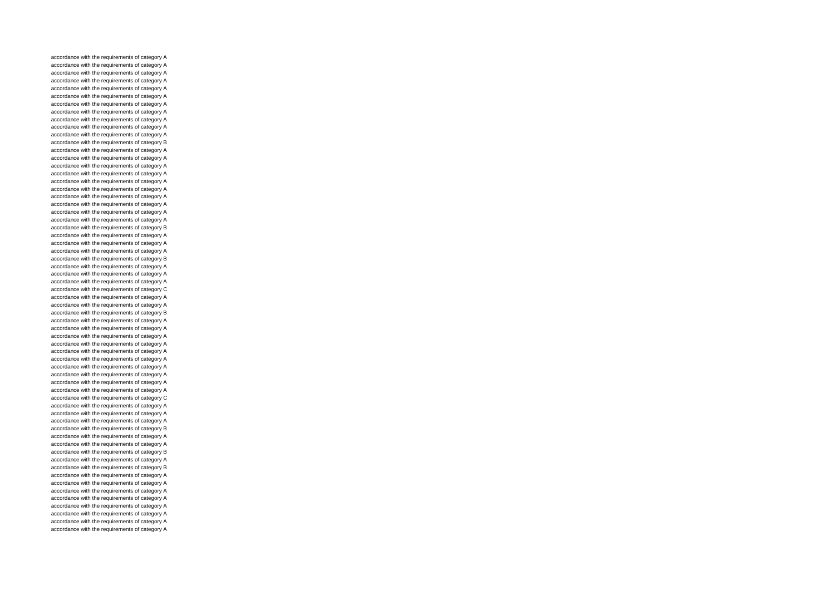accordance with the requirements of category A accordance with the requirements of category A accordance with the requirements of category A accordance with the requirements of category A accordance with the requirements of category A accordance with the requirements of category A accordance with the requirements of category A accordance with the requirements of category A accordance with the requirements of category A accordance with the requirements of category A accordance with the requirements of category A accordance with the requirements of category B accordance with the requirements of category A accordance with the requirements of category A accordance with the requirements of category A accordance with the requirements of category A accordance with the requirements of category A accordance with the requirements of category A accordance with the requirements of category A accordance with the requirements of category A accordance with the requirements of category A accordance with the requirements of category A accordance with the requirements of category B accordance with the requirements of category A accordance with the requirements of category A accordance with the requirements of category A accordance with the requirements of category B accordance with the requirements of category A accordance with the requirements of category A accordance with the requirements of category A accordance with the requirements of category C accordance with the requirements of category A accordance with the requirements of category A accordance with the requirements of category B accordance with the requirements of category A accordance with the requirements of category A accordance with the requirements of category A accordance with the requirements of category A accordance with the requirements of category A accordance with the requirements of category A accordance with the requirements of category A accordance with the requirements of category A accordance with the requirements of category A accordance with the requirements of category A accordance with the requirements of category C accordance with the requirements of category A accordance with the requirements of category A accordance with the requirements of category A accordance with the requirements of category B accordance with the requirements of category A accordance with the requirements of category A accordance with the requirements of category B accordance with the requirements of category A accordance with the requirements of category B accordance with the requirements of category A accordance with the requirements of category A accordance with the requirements of category A accordance with the requirements of category A accordance with the requirements of category A accordance with the requirements of category A accordance with the requirements of category A accordance with the requirements of category A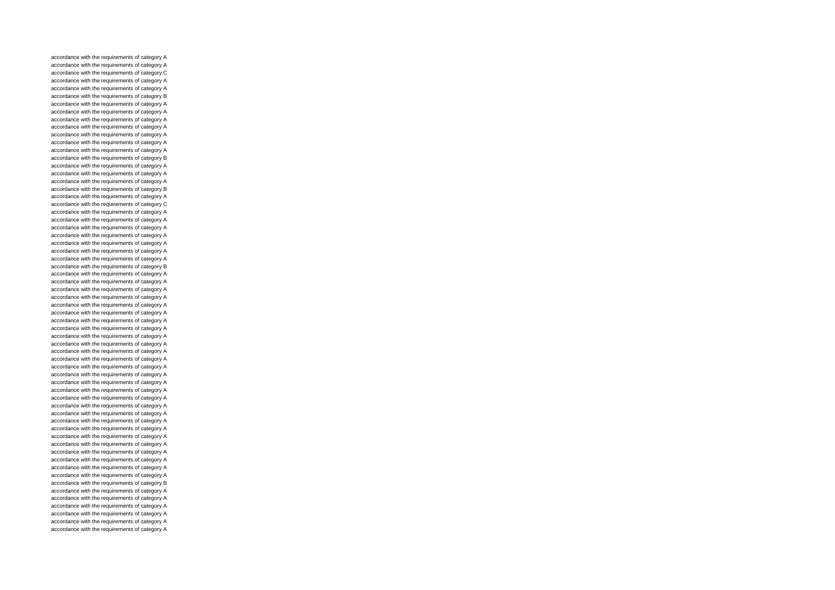accordance with the requirements of category A accordance with the requirements of category A accordance with the requirements of category C accordance with the requirements of category A accordance with the requirements of category A accordance with the requirements of category B accordance with the requirements of category A accordance with the requirements of category A accordance with the requirements of category A accordance with the requirements of category A accordance with the requirements of category A accordance with the requirements of category A accordance with the requirements of category A accordance with the requirements of category B accordance with the requirements of category A accordance with the requirements of category A accordance with the requirements of category A accordance with the requirements of category B accordance with the requirements of category A accordance with the requirements of category C accordance with the requirements of category A accordance with the requirements of category A accordance with the requirements of category A accordance with the requirements of category A accordance with the requirements of category A accordance with the requirements of category A accordance with the requirements of category A accordance with the requirements of category B accordance with the requirements of category A accordance with the requirements of category A accordance with the requirements of category A accordance with the requirements of category A accordance with the requirements of category A accordance with the requirements of category A accordance with the requirements of category A accordance with the requirements of category A accordance with the requirements of category A accordance with the requirements of category A accordance with the requirements of category A accordance with the requirements of category A accordance with the requirements of category A accordance with the requirements of category A accordance with the requirements of category A accordance with the requirements of category A accordance with the requirements of category A accordance with the requirements of category A accordance with the requirements of category A accordance with the requirements of category A accordance with the requirements of category A accordance with the requirements of category A accordance with the requirements of category A accordance with the requirements of category A accordance with the requirements of category A accordance with the requirements of category A accordance with the requirements of category A accordance with the requirements of category B accordance with the requirements of category A accordance with the requirements of category A accordance with the requirements of category A accordance with the requirements of category A accordance with the requirements of category A accordance with the requirements of category A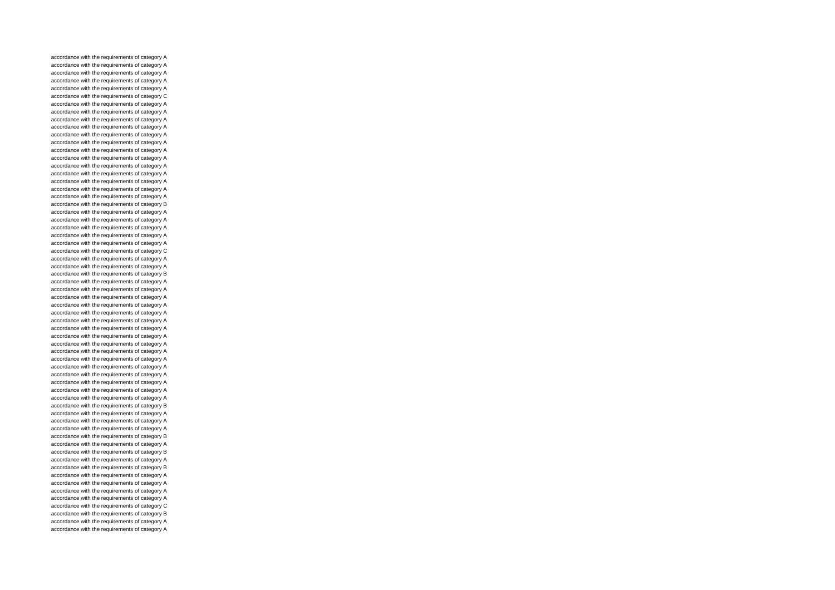accordance with the requirements of category A accordance with the requirements of category A accordance with the requirements of category A accordance with the requirements of category A accordance with the requirements of category A accordance with the requirements of category C accordance with the requirements of category A accordance with the requirements of category A accordance with the requirements of category A accordance with the requirements of category A accordance with the requirements of category A accordance with the requirements of category A accordance with the requirements of category A accordance with the requirements of category A accordance with the requirements of category A accordance with the requirements of category A accordance with the requirements of category A accordance with the requirements of category A accordance with the requirements of category A accordance with the requirements of category B accordance with the requirements of category A accordance with the requirements of category A accordance with the requirements of category A accordance with the requirements of category A accordance with the requirements of category A accordance with the requirements of category C accordance with the requirements of category A accordance with the requirements of category A accordance with the requirements of category B accordance with the requirements of category A accordance with the requirements of category A accordance with the requirements of category A accordance with the requirements of category A accordance with the requirements of category A accordance with the requirements of category A accordance with the requirements of category A accordance with the requirements of category A accordance with the requirements of category A accordance with the requirements of category A accordance with the requirements of category A accordance with the requirements of category A accordance with the requirements of category A accordance with the requirements of category A accordance with the requirements of category A accordance with the requirements of category A accordance with the requirements of category B accordance with the requirements of category A accordance with the requirements of category A accordance with the requirements of category A accordance with the requirements of category B accordance with the requirements of category A accordance with the requirements of category B accordance with the requirements of category A accordance with the requirements of category B accordance with the requirements of category A accordance with the requirements of category A accordance with the requirements of category A accordance with the requirements of category A accordance with the requirements of category C accordance with the requirements of category B accordance with the requirements of category A accordance with the requirements of category A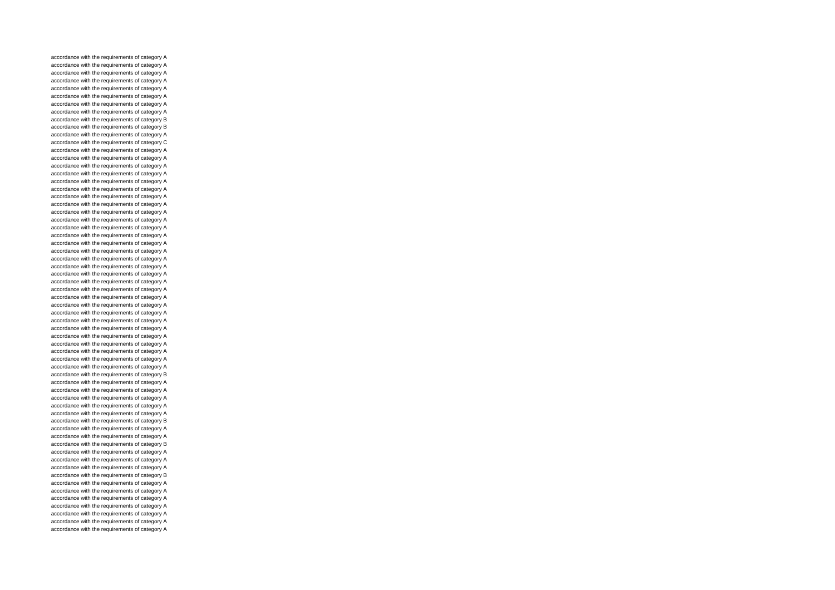accordance with the requirements of category A accordance with the requirements of category A accordance with the requirements of category A accordance with the requirements of category A accordance with the requirements of category A accordance with the requirements of category A accordance with the requirements of category A accordance with the requirements of category A accordance with the requirements of category B accordance with the requirements of category B accordance with the requirements of category A accordance with the requirements of category C accordance with the requirements of category A accordance with the requirements of category A accordance with the requirements of category A accordance with the requirements of category A accordance with the requirements of category A accordance with the requirements of category A accordance with the requirements of category A accordance with the requirements of category A accordance with the requirements of category A accordance with the requirements of category A accordance with the requirements of category A accordance with the requirements of category A accordance with the requirements of category A accordance with the requirements of category A accordance with the requirements of category A accordance with the requirements of category A accordance with the requirements of category A accordance with the requirements of category A accordance with the requirements of category A accordance with the requirements of category A accordance with the requirements of category A accordance with the requirements of category A accordance with the requirements of category A accordance with the requirements of category A accordance with the requirements of category A accordance with the requirements of category A accordance with the requirements of category A accordance with the requirements of category A accordance with the requirements of category A accordance with the requirements of category B accordance with the requirements of category A accordance with the requirements of category A accordance with the requirements of category A accordance with the requirements of category A accordance with the requirements of category A accordance with the requirements of category B accordance with the requirements of category A accordance with the requirements of category A accordance with the requirements of category B accordance with the requirements of category A accordance with the requirements of category A accordance with the requirements of category A accordance with the requirements of category B accordance with the requirements of category A accordance with the requirements of category A accordance with the requirements of category A accordance with the requirements of category A accordance with the requirements of category A accordance with the requirements of category A accordance with the requirements of category A